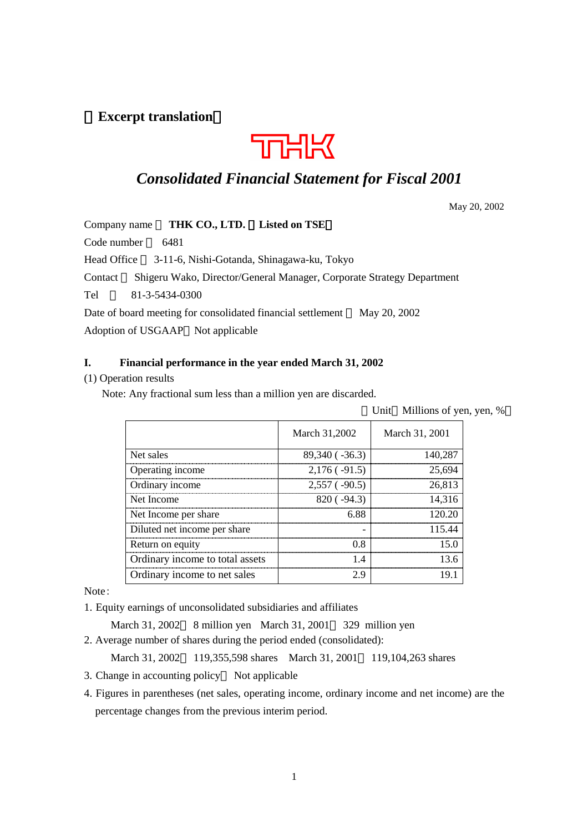# **Excerpt translation**



# *Consolidated Financial Statement for Fiscal 2001*

May 20, 2002

Company name **THK CO., LTD. Listed on TSE**

Code number 6481

Head Office 3-11-6, Nishi-Gotanda, Shinagawa-ku, Tokyo

Contact Shigeru Wako, Director/General Manager, Corporate Strategy Department

Tel 81-3-5434-0300

Date of board meeting for consolidated financial settlement May 20, 2002

Adoption of USGAAP Not applicable

#### **I. Financial performance in the year ended March 31, 2002**

### (1) Operation results

Note: Any fractional sum less than a million yen are discarded.

Unit Millions of yen, yen, %

|                                 | March 31,2002       | March 31, 2001 |
|---------------------------------|---------------------|----------------|
| Net sales                       | 89,340 ( $-36.3$ )  | 140,287        |
| Operating income                | $2,176$ ( $-91.5$ ) | 25.694         |
| Ordinary income                 | $2,557$ ( $-90.5$ ) | 26,813         |
| Net Income                      | 820(.94.3)          | 14,316         |
| Net Income per share            | 6.88                | 120.20         |
| Diluted net income per share    |                     | 115.44         |
| Return on equity                | 0 R                 | 150            |
| Ordinary income to total assets | $\mathcal{A}$       | 13 6           |
| Ordinary income to net sales    | 7 Y                 |                |

Note:

1. Equity earnings of unconsolidated subsidiaries and affiliates

March 31, 2002 8 million yen March 31, 2001 329 million yen 2. Average number of shares during the period ended (consolidated):

March 31, 2002 119,355,598 shares March 31, 2001 119,104,263 shares

3. Change in accounting policy Not applicable

4. Figures in parentheses (net sales, operating income, ordinary income and net income) are the percentage changes from the previous interim period.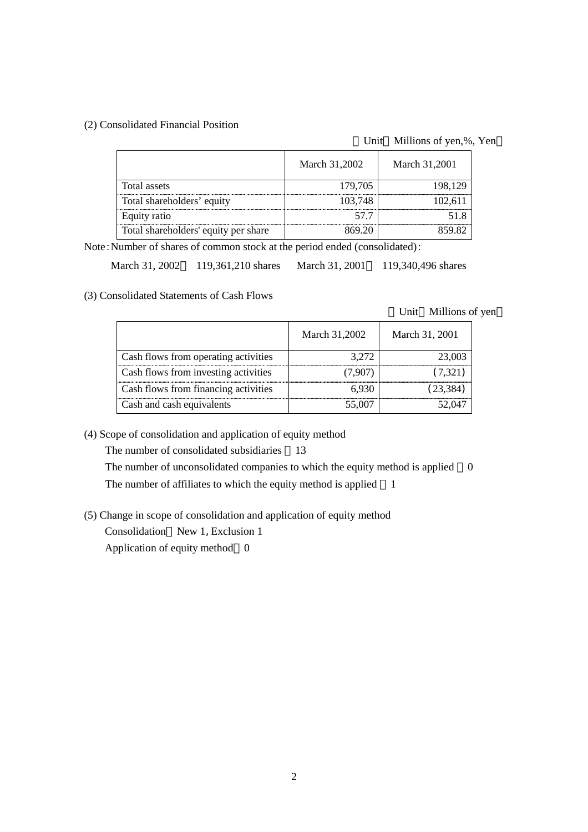#### (2) Consolidated Financial Position

#### Unit Millions of yen,%, Yen

|                                      | March 31,2002 | March 31,2001 |
|--------------------------------------|---------------|---------------|
| Total assets                         | 179,705       | 198,129       |
| Total shareholders' equity           | 103,748       | 102.61        |
| Equity ratio                         |               |               |
| Total shareholders' equity per share |               |               |

Note:Number of shares of common stock at the period ended (consolidated):

March 31, 2002 119,361,210 shares March 31, 2001 119,340,496 shares

(3) Consolidated Statements of Cash Flows

Unit Millions of yen

|                                      | March 31,2002 | March 31, 2001 |
|--------------------------------------|---------------|----------------|
| Cash flows from operating activities | 3.272         | 23 003         |
| Cash flows from investing activities | (7.907)       | (7, 321)       |
| Cash flows from financing activities | 6.930         |                |
| Cash and cash equivalents            | .5 OO7        |                |

(4) Scope of consolidation and application of equity method

The number of consolidated subsidiaries 13

The number of unconsolidated companies to which the equity method is applied 0 The number of affiliates to which the equity method is applied 1

(5) Change in scope of consolidation and application of equity method

Consolidation New 1, Exclusion 1

Application of equity method 0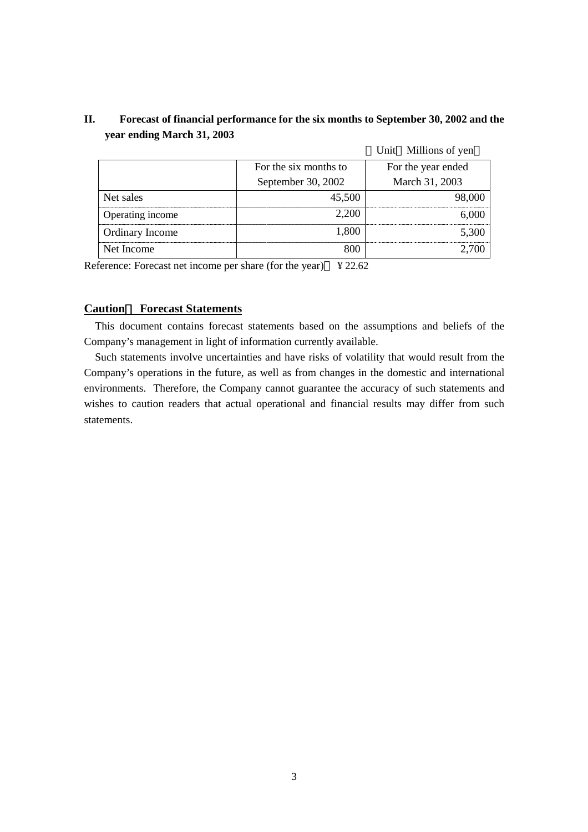# **II. Forecast of financial performance for the six months to September 30, 2002 and the year ending March 31, 2003**

|                  |                       | Unit Millions of yen |
|------------------|-----------------------|----------------------|
|                  | For the six months to | For the year ended   |
|                  | September 30, 2002    | March 31, 2003       |
| Net sales        | 45,500                |                      |
| Operating income | 2.200                 |                      |
| Ordinary Income  | 1.800                 | 3,300                |
| Net Income       |                       |                      |

Reference: Forecast net income per share (for the year)  $\angle$  ¥ 22.62

## **Caution Forecast Statements**

This document contains forecast statements based on the assumptions and beliefs of the Company's management in light of information currently available.

Such statements involve uncertainties and have risks of volatility that would result from the Company's operations in the future, as well as from changes in the domestic and international environments. Therefore, the Company cannot guarantee the accuracy of such statements and wishes to caution readers that actual operational and financial results may differ from such statements.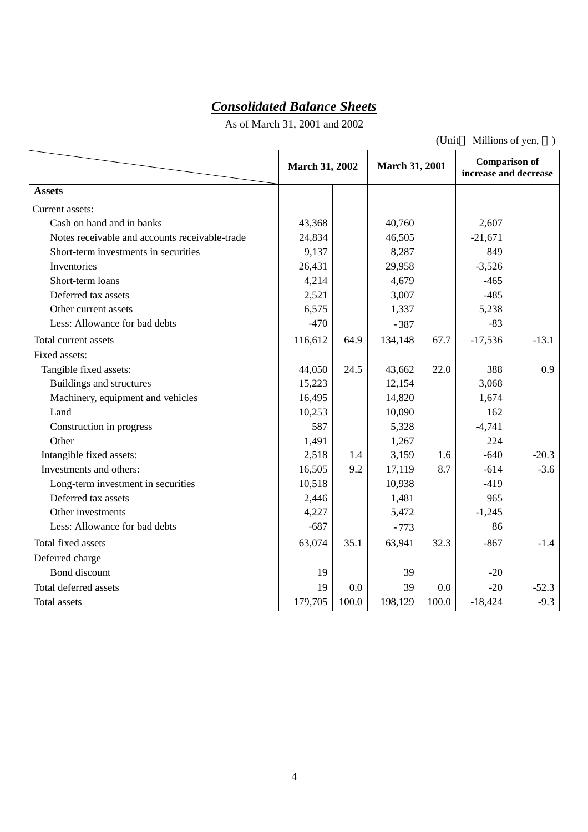# *Consolidated Balance Sheets*

As of March 31, 2001 and 2002

(Unit Millions of yen, )

|                                                | <b>March 31, 2002</b> |       | <b>March 31, 2001</b> |       | <b>Comparison of</b><br>increase and decrease |         |
|------------------------------------------------|-----------------------|-------|-----------------------|-------|-----------------------------------------------|---------|
| <b>Assets</b>                                  |                       |       |                       |       |                                               |         |
| Current assets:                                |                       |       |                       |       |                                               |         |
| Cash on hand and in banks                      | 43,368                |       | 40,760                |       | 2,607                                         |         |
| Notes receivable and accounts receivable-trade | 24,834                |       | 46,505                |       | $-21,671$                                     |         |
| Short-term investments in securities           | 9,137                 |       | 8,287                 |       | 849                                           |         |
| Inventories                                    | 26,431                |       | 29,958                |       | $-3,526$                                      |         |
| Short-term loans                               | 4,214                 |       | 4,679                 |       | $-465$                                        |         |
| Deferred tax assets                            | 2,521                 |       | 3,007                 |       | $-485$                                        |         |
| Other current assets                           | 6,575                 |       | 1,337                 |       | 5,238                                         |         |
| Less: Allowance for bad debts                  | $-470$                |       | $-387$                |       | $-83$                                         |         |
| Total current assets                           | 116,612               | 64.9  | 134,148               | 67.7  | $-17,536$                                     | $-13.1$ |
| Fixed assets:                                  |                       |       |                       |       |                                               |         |
| Tangible fixed assets:                         | 44,050                | 24.5  | 43,662                | 22.0  | 388                                           | 0.9     |
| Buildings and structures                       | 15,223                |       | 12,154                |       | 3,068                                         |         |
| Machinery, equipment and vehicles              | 16,495                |       | 14,820                |       | 1,674                                         |         |
| Land                                           | 10,253                |       | 10,090                |       | 162                                           |         |
| Construction in progress                       | 587                   |       | 5,328                 |       | $-4,741$                                      |         |
| Other                                          | 1,491                 |       | 1,267                 |       | 224                                           |         |
| Intangible fixed assets:                       | 2,518                 | 1.4   | 3,159                 | 1.6   | $-640$                                        | $-20.3$ |
| Investments and others:                        | 16,505                | 9.2   | 17,119                | 8.7   | $-614$                                        | $-3.6$  |
| Long-term investment in securities             | 10,518                |       | 10,938                |       | $-419$                                        |         |
| Deferred tax assets                            | 2,446                 |       | 1,481                 |       | 965                                           |         |
| Other investments                              | 4,227                 |       | 5,472                 |       | $-1,245$                                      |         |
| Less: Allowance for bad debts                  | $-687$                |       | $-773$                |       | 86                                            |         |
| Total fixed assets                             | 63,074                | 35.1  | 63,941                | 32.3  | $-867$                                        | $-1.4$  |
| Deferred charge                                |                       |       |                       |       |                                               |         |
| Bond discount                                  | 19                    |       | 39                    |       | $-20$                                         |         |
| Total deferred assets                          | 19                    | 0.0   | 39                    | 0.0   | $-20$                                         | $-52.3$ |
| <b>Total</b> assets                            | 179,705               | 100.0 | 198,129               | 100.0 | $-18,424$                                     | $-9.3$  |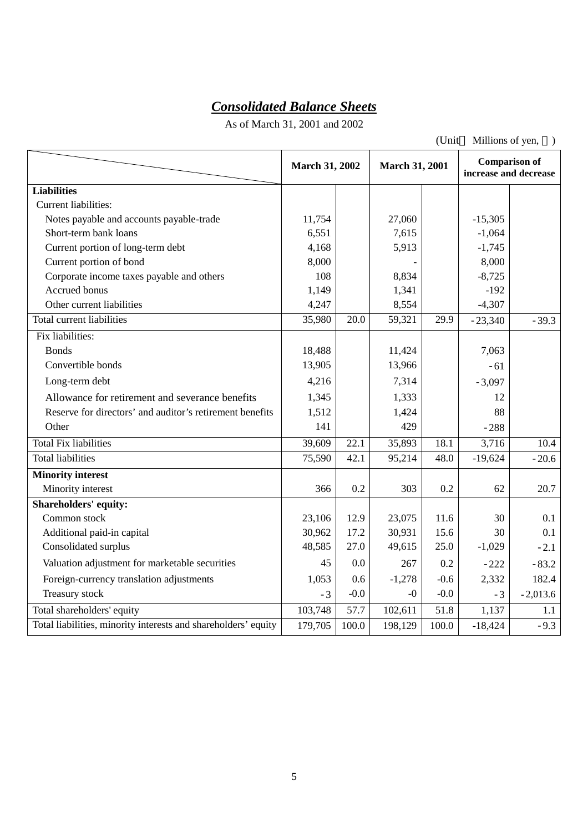# *Consolidated Balance Sheets*

As of March 31, 2001 and 2002

(Unit Millions of yen, )

|                                                                | <b>March 31, 2002</b> |        | <b>March 31, 2001</b> |        | <b>Comparison of</b><br>increase and decrease |            |
|----------------------------------------------------------------|-----------------------|--------|-----------------------|--------|-----------------------------------------------|------------|
| <b>Liabilities</b>                                             |                       |        |                       |        |                                               |            |
| Current liabilities:                                           |                       |        |                       |        |                                               |            |
| Notes payable and accounts payable-trade                       | 11,754                |        | 27,060                |        | $-15,305$                                     |            |
| Short-term bank loans                                          | 6,551                 |        | 7,615                 |        | $-1,064$                                      |            |
| Current portion of long-term debt                              | 4,168                 |        | 5,913                 |        | $-1,745$                                      |            |
| Current portion of bond                                        | 8,000                 |        |                       |        | 8,000                                         |            |
| Corporate income taxes payable and others                      | 108                   |        | 8,834                 |        | $-8,725$                                      |            |
| Accrued bonus                                                  | 1,149                 |        | 1,341                 |        | $-192$                                        |            |
| Other current liabilities                                      | 4,247                 |        | 8,554                 |        | $-4,307$                                      |            |
| Total current liabilities                                      | 35,980                | 20.0   | 59,321                | 29.9   | $-23,340$                                     | $-39.3$    |
| Fix liabilities:                                               |                       |        |                       |        |                                               |            |
| <b>Bonds</b>                                                   | 18,488                |        | 11,424                |        | 7,063                                         |            |
| Convertible bonds                                              | 13,905                |        | 13,966                |        | $-61$                                         |            |
| Long-term debt                                                 | 4,216                 |        | 7,314                 |        | $-3,097$                                      |            |
| Allowance for retirement and severance benefits                | 1,345                 |        | 1,333                 |        | 12                                            |            |
| Reserve for directors' and auditor's retirement benefits       | 1,512                 |        | 1,424                 |        | 88                                            |            |
| Other                                                          | 141                   |        | 429                   |        | $-288$                                        |            |
| <b>Total Fix liabilities</b>                                   | 39,609                | 22.1   | 35,893                | 18.1   | 3,716                                         | 10.4       |
| <b>Total liabilities</b>                                       | 75,590                | 42.1   | 95,214                | 48.0   | $-19,624$                                     | $-20.6$    |
| <b>Minority interest</b>                                       |                       |        |                       |        |                                               |            |
| Minority interest                                              | 366                   | 0.2    | 303                   | 0.2    | 62                                            | 20.7       |
| <b>Shareholders' equity:</b>                                   |                       |        |                       |        |                                               |            |
| Common stock                                                   | 23,106                | 12.9   | 23,075                | 11.6   | 30                                            | 0.1        |
| Additional paid-in capital                                     | 30,962                | 17.2   | 30,931                | 15.6   | 30                                            | 0.1        |
| Consolidated surplus                                           | 48,585                | 27.0   | 49,615                | 25.0   | $-1,029$                                      | $-2.1$     |
| Valuation adjustment for marketable securities                 | 45                    | 0.0    | 267                   | 0.2    | $-222$                                        | $-83.2$    |
| Foreign-currency translation adjustments                       | 1,053                 | 0.6    | $-1,278$              | $-0.6$ | 2,332                                         | 182.4      |
| Treasury stock                                                 | $-3$                  | $-0.0$ | $-0$                  | $-0.0$ | $-3$                                          | $-2,013.6$ |
| Total shareholders' equity                                     | 103,748               | 57.7   | 102,611               | 51.8   | 1,137                                         | 1.1        |
| Total liabilities, minority interests and shareholders' equity | 179,705               | 100.0  | 198,129               | 100.0  | $-18,424$                                     | $-9.3$     |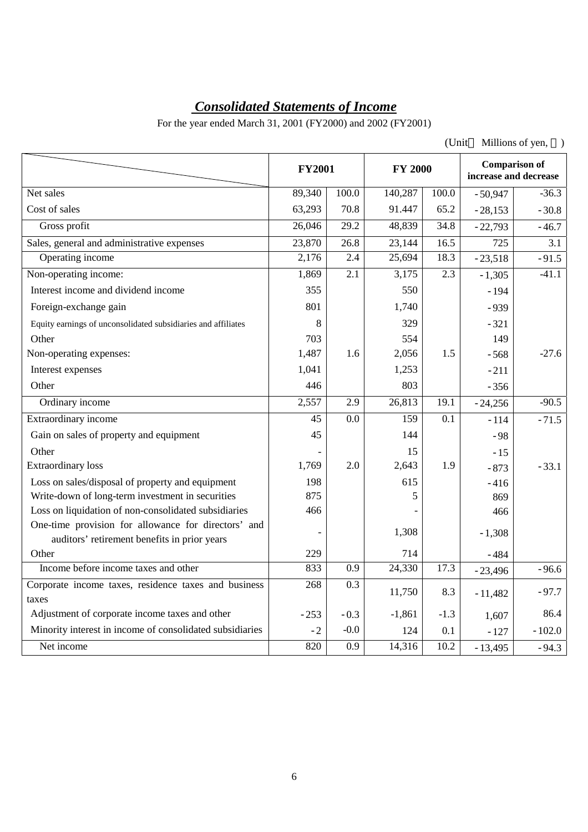# *Consolidated Statements of Income*

For the year ended March 31, 2001 (FY2000) and 2002 (FY2001)

| (Unit | Millions of yen, |  |
|-------|------------------|--|
|-------|------------------|--|

|                                                               | <b>FY2001</b>   |                  | <b>FY 2000</b>   |                  | increase and decrease | <b>Comparison of</b> |
|---------------------------------------------------------------|-----------------|------------------|------------------|------------------|-----------------------|----------------------|
| Net sales                                                     | 89,340          | 100.0            | 140,287          | 100.0            | $-50,947$             | $-36.3$              |
| Cost of sales                                                 | 63,293          | 70.8             | 91.447           | 65.2             | $-28,153$             | $-30.8$              |
| Gross profit                                                  | 26,046          | 29.2             | 48,839           | 34.8             | $-22,793$             | $-46.7$              |
| Sales, general and administrative expenses                    | 23,870          | 26.8             | 23,144           | 16.5             | 725                   | 3.1                  |
| Operating income                                              | 2,176           | 2.4              | 25,694           | 18.3             | $-23,518$             | $-91.5$              |
| Non-operating income:                                         | 1,869           | $\overline{2.1}$ | 3,175            | 2.3              | $-1,305$              | $-41.1$              |
| Interest income and dividend income                           | 355             |                  | 550              |                  | $-194$                |                      |
| Foreign-exchange gain                                         | 801             |                  | 1,740            |                  | $-939$                |                      |
| Equity earnings of unconsolidated subsidiaries and affiliates | 8               |                  | 329              |                  | $-321$                |                      |
| Other                                                         | 703             |                  | 554              |                  | 149                   |                      |
| Non-operating expenses:                                       | 1,487           | 1.6              | 2,056            | 1.5              | $-568$                | $-27.6$              |
| Interest expenses                                             | 1,041           |                  | 1,253            |                  | $-211$                |                      |
| Other                                                         | 446             |                  | 803              |                  | $-356$                |                      |
| Ordinary income                                               | 2,557           | 2.9              | 26,813           | 19.1             | $-24,256$             | $-90.5$              |
| Extraordinary income                                          | $\overline{45}$ | $\overline{0.0}$ | $\overline{159}$ | $\overline{0.1}$ | $-114$                | $-71.5$              |
| Gain on sales of property and equipment                       | 45              |                  | 144              |                  | $-98$                 |                      |
| Other                                                         |                 |                  | 15               |                  | $-15$                 |                      |
| <b>Extraordinary</b> loss                                     | 1,769           | 2.0              | 2,643            | 1.9              | $-873$                | $-33.1$              |
| Loss on sales/disposal of property and equipment              | 198             |                  | 615              |                  | $-416$                |                      |
| Write-down of long-term investment in securities              | 875             |                  | 5                |                  | 869                   |                      |
| Loss on liquidation of non-consolidated subsidiaries          | 466             |                  |                  |                  | 466                   |                      |
| One-time provision for allowance for directors' and           |                 |                  | 1,308            |                  | $-1,308$              |                      |
| auditors' retirement benefits in prior years                  |                 |                  |                  |                  |                       |                      |
| Other<br>Income before income taxes and other                 | 229<br>833      | $\overline{0.9}$ | 714<br>24,330    | 17.3             | $-484$                |                      |
|                                                               |                 |                  |                  |                  | $-23,496$             | $-96.6$              |
| Corporate income taxes, residence taxes and business<br>taxes | 268             | 0.3              | 11,750           | 8.3              | $-11,482$             | $-97.7$              |
| Adjustment of corporate income taxes and other                | $-253$          | $-0.3$           | $-1,861$         | $-1.3$           | 1,607                 | 86.4                 |
| Minority interest in income of consolidated subsidiaries      | $-2$            | $-0.0$           | 124              | 0.1              | $-127$                | $-102.0$             |
| Net income                                                    | 820             | 0.9              | 14,316           | 10.2             | $-13,495$             | $-94.3$              |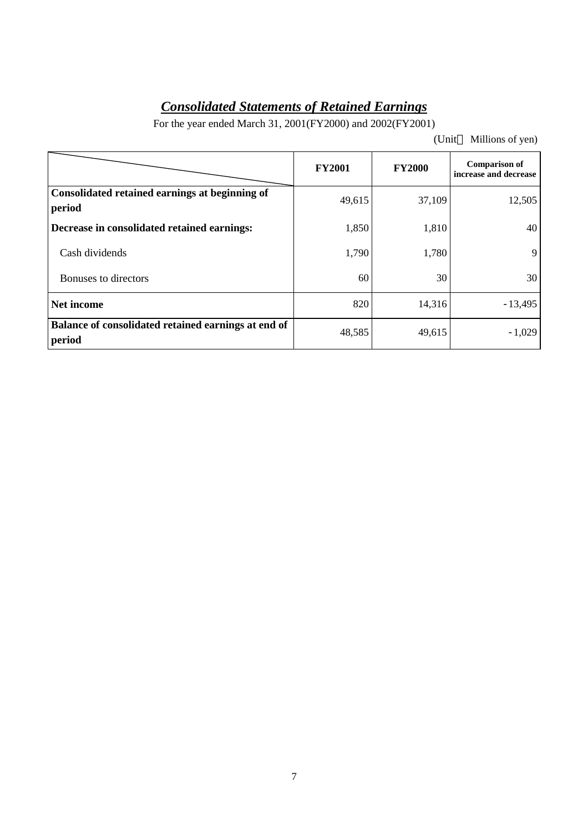# *Consolidated Statements of Retained Earnings*

For the year ended March 31, 2001(FY2000) and 2002(FY2001)

(Unit Millions of yen)

|                                                               | <b>FY2001</b> | <b>FY2000</b> | <b>Comparison of</b><br>increase and decrease |
|---------------------------------------------------------------|---------------|---------------|-----------------------------------------------|
| Consolidated retained earnings at beginning of<br>period      | 49,615        | 37,109        | 12,505                                        |
| Decrease in consolidated retained earnings:                   | 1,850         | 1,810         | 40                                            |
| Cash dividends                                                | 1,790         | 1,780         | 9                                             |
| Bonuses to directors                                          | 60            | 30            | 30                                            |
| Net income                                                    | 820           | 14,316        | $-13,495$                                     |
| Balance of consolidated retained earnings at end of<br>period | 48,585        | 49,615        | $-1,029$                                      |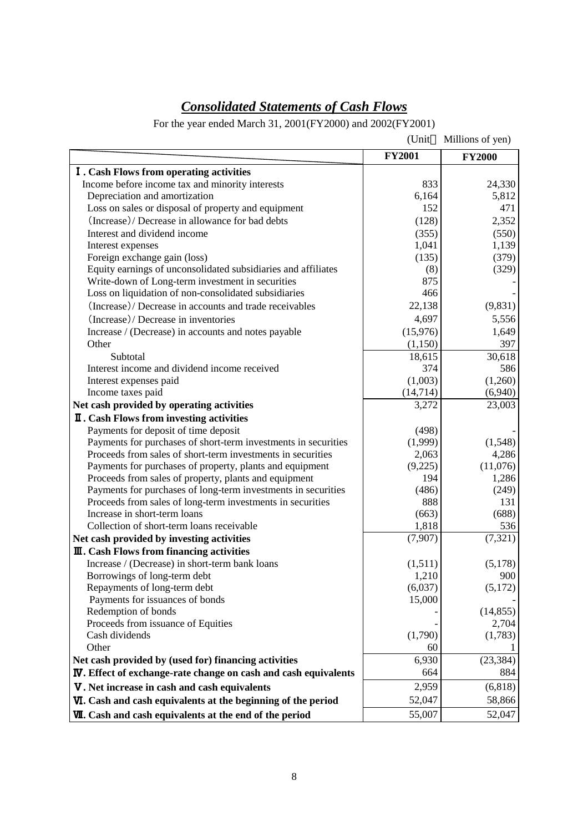# *Consolidated Statements of Cash Flows*

For the year ended March 31, 2001(FY2000) and 2002(FY2001)

|                                                                                                                             | (Unit         | Millions of yen) |
|-----------------------------------------------------------------------------------------------------------------------------|---------------|------------------|
|                                                                                                                             | <b>FY2001</b> | <b>FY2000</b>    |
| <b>I</b> . Cash Flows from operating activities                                                                             |               |                  |
| Income before income tax and minority interests                                                                             | 833           | 24,330           |
| Depreciation and amortization                                                                                               | 6,164         | 5,812            |
| Loss on sales or disposal of property and equipment                                                                         | 152           | 471              |
| (Increase)/ Decrease in allowance for bad debts                                                                             | (128)         | 2,352            |
| Interest and dividend income                                                                                                | (355)         | (550)            |
| Interest expenses                                                                                                           | 1,041         | 1,139            |
| Foreign exchange gain (loss)                                                                                                | (135)         | (379)            |
| Equity earnings of unconsolidated subsidiaries and affiliates                                                               | (8)           | (329)            |
| Write-down of Long-term investment in securities                                                                            | 875           |                  |
| Loss on liquidation of non-consolidated subsidiaries                                                                        | 466           |                  |
| (Increase)/ Decrease in accounts and trade receivables                                                                      | 22,138        | (9,831)          |
| (Increase)/ Decrease in inventories                                                                                         | 4,697         | 5,556            |
| Increase / (Decrease) in accounts and notes payable                                                                         | (15,976)      | 1,649            |
| Other                                                                                                                       | (1,150)       | 397              |
| Subtotal                                                                                                                    | 18,615        | 30,618           |
| Interest income and dividend income received                                                                                | 374           | 586              |
| Interest expenses paid                                                                                                      | (1,003)       | (1,260)          |
| Income taxes paid                                                                                                           | (14, 714)     | (6,940)          |
| Net cash provided by operating activities                                                                                   | 3,272         | 23,003           |
| <b>II.</b> Cash Flows from investing activities                                                                             |               |                  |
| Payments for deposit of time deposit                                                                                        | (498)         |                  |
| Payments for purchases of short-term investments in securities                                                              | (1,999)       | (1,548)          |
| Proceeds from sales of short-term investments in securities                                                                 | 2,063         | 4,286            |
| Payments for purchases of property, plants and equipment                                                                    | (9,225)       | (11,076)         |
| Proceeds from sales of property, plants and equipment                                                                       | 194           | 1,286            |
| Payments for purchases of long-term investments in securities<br>Proceeds from sales of long-term investments in securities | (486)<br>888  | (249)<br>131     |
| Increase in short-term loans                                                                                                | (663)         | (688)            |
| Collection of short-term loans receivable                                                                                   | 1,818         | 536              |
| Net cash provided by investing activities                                                                                   | (7,907)       | (7, 321)         |
| <b>III.</b> Cash Flows from financing activities                                                                            |               |                  |
| Increase / (Decrease) in short-term bank loans                                                                              | (1,511)       | (5,178)          |
| Borrowings of long-term debt                                                                                                | 1,210         | 900              |
| Repayments of long-term debt                                                                                                | (6,037)       | (5,172)          |
| Payments for issuances of bonds                                                                                             | 15,000        |                  |
| Redemption of bonds                                                                                                         |               | (14, 855)        |
| Proceeds from issuance of Equities                                                                                          |               | 2,704            |
| Cash dividends                                                                                                              | (1,790)       | (1,783)          |
| Other                                                                                                                       | 60            |                  |
| Net cash provided by (used for) financing activities                                                                        | 6,930         | (23, 384)        |
| <b>IV.</b> Effect of exchange-rate change on cash and cash equivalents                                                      | 664           | 884              |
| V. Net increase in cash and cash equivalents                                                                                | 2,959         | (6,818)          |
| VI. Cash and cash equivalents at the beginning of the period                                                                | 52,047        | 58,866           |
| VII. Cash and cash equivalents at the end of the period                                                                     | 55,007        | 52,047           |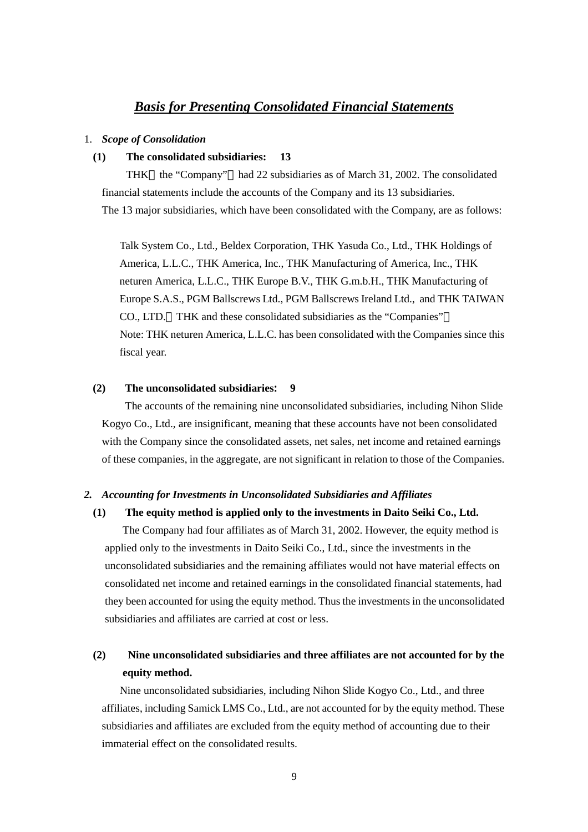# *Basis for Presenting Consolidated Financial Statements*

#### 1. *Scope of Consolidation*

#### **(1) The consolidated subsidiaries: 13**

THK the "Company" had 22 subsidiaries as of March 31, 2002. The consolidated financial statements include the accounts of the Company and its 13 subsidiaries. The 13 major subsidiaries, which have been consolidated with the Company, are as follows:

Talk System Co., Ltd., Beldex Corporation, THK Yasuda Co., Ltd., THK Holdings of America, L.L.C., THK America, Inc., THK Manufacturing of America, Inc., THK neturen America, L.L.C., THK Europe B.V., THK G.m.b.H., THK Manufacturing of Europe S.A.S., PGM Ballscrews Ltd., PGM Ballscrews Ireland Ltd., and THK TAIWAN CO., LTD. THK and these consolidated subsidiaries as the "Companies" Note: THK neturen America, L.L.C. has been consolidated with the Companies since this fiscal year.

#### **(2) The unconsolidated subsidiaries**:**9**

 The accounts of the remaining nine unconsolidated subsidiaries, including Nihon Slide Kogyo Co., Ltd., are insignificant, meaning that these accounts have not been consolidated with the Company since the consolidated assets, net sales, net income and retained earnings of these companies, in the aggregate, are not significant in relation to those of the Companies.

#### *2. Accounting for Investments in Unconsolidated Subsidiaries and Affiliates*

#### **(1) The equity method is applied only to the investments in Daito Seiki Co., Ltd.**

The Company had four affiliates as of March 31, 2002. However, the equity method is applied only to the investments in Daito Seiki Co., Ltd., since the investments in the unconsolidated subsidiaries and the remaining affiliates would not have material effects on consolidated net income and retained earnings in the consolidated financial statements, had they been accounted for using the equity method. Thus the investments in the unconsolidated subsidiaries and affiliates are carried at cost or less.

# **(2) Nine unconsolidated subsidiaries and three affiliates are not accounted for by the equity method.**

Nine unconsolidated subsidiaries, including Nihon Slide Kogyo Co., Ltd., and three affiliates, including Samick LMS Co., Ltd., are not accounted for by the equity method. These subsidiaries and affiliates are excluded from the equity method of accounting due to their immaterial effect on the consolidated results.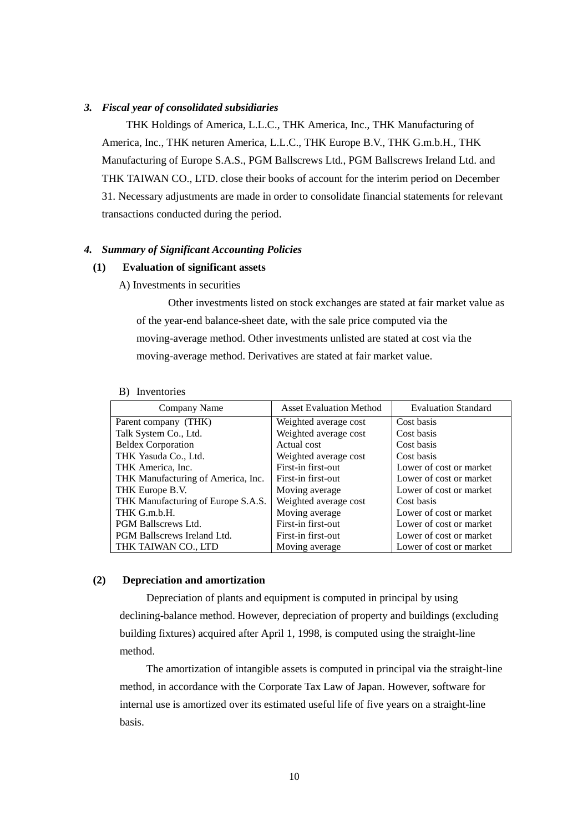#### *3. Fiscal year of consolidated subsidiaries*

 THK Holdings of America, L.L.C., THK America, Inc., THK Manufacturing of America, Inc., THK neturen America, L.L.C., THK Europe B.V., THK G.m.b.H., THK Manufacturing of Europe S.A.S., PGM Ballscrews Ltd., PGM Ballscrews Ireland Ltd. and THK TAIWAN CO., LTD. close their books of account for the interim period on December 31. Necessary adjustments are made in order to consolidate financial statements for relevant transactions conducted during the period.

#### *4. Summary of Significant Accounting Policies*

#### **(1) Evaluation of significant assets**

A) Investments in securities

Other investments listed on stock exchanges are stated at fair market value as of the year-end balance-sheet date, with the sale price computed via the moving-average method. Other investments unlisted are stated at cost via the moving-average method. Derivatives are stated at fair market value.

| Company Name                       | <b>Asset Evaluation Method</b> | <b>Evaluation Standard</b> |
|------------------------------------|--------------------------------|----------------------------|
| Parent company (THK)               | Weighted average cost          | Cost basis                 |
| Talk System Co., Ltd.              | Weighted average cost          | Cost basis                 |
| <b>Beldex Corporation</b>          | Actual cost                    | Cost basis                 |
| THK Yasuda Co., Ltd.               | Weighted average cost          | Cost basis                 |
| THK America, Inc.                  | First-in first-out             | Lower of cost or market    |
| THK Manufacturing of America, Inc. | First-in first-out             | Lower of cost or market    |
| THK Europe B.V.                    | Moving average                 | Lower of cost or market    |
| THK Manufacturing of Europe S.A.S. | Weighted average cost          | Cost basis                 |
| THK G.m.b.H.                       | Moving average                 | Lower of cost or market    |
| <b>PGM Ballscrews Ltd.</b>         | First-in first-out             | Lower of cost or market    |
| <b>PGM Ballscrews Ireland Ltd.</b> | First-in first-out             | Lower of cost or market    |
| THK TAIWAN CO., LTD                | Moving average                 | Lower of cost or market    |

#### B) Inventories

#### **(2) Depreciation and amortization**

Depreciation of plants and equipment is computed in principal by using declining-balance method. However, depreciation of property and buildings (excluding building fixtures) acquired after April 1, 1998, is computed using the straight-line method.

The amortization of intangible assets is computed in principal via the straight-line method, in accordance with the Corporate Tax Law of Japan. However, software for internal use is amortized over its estimated useful life of five years on a straight-line basis.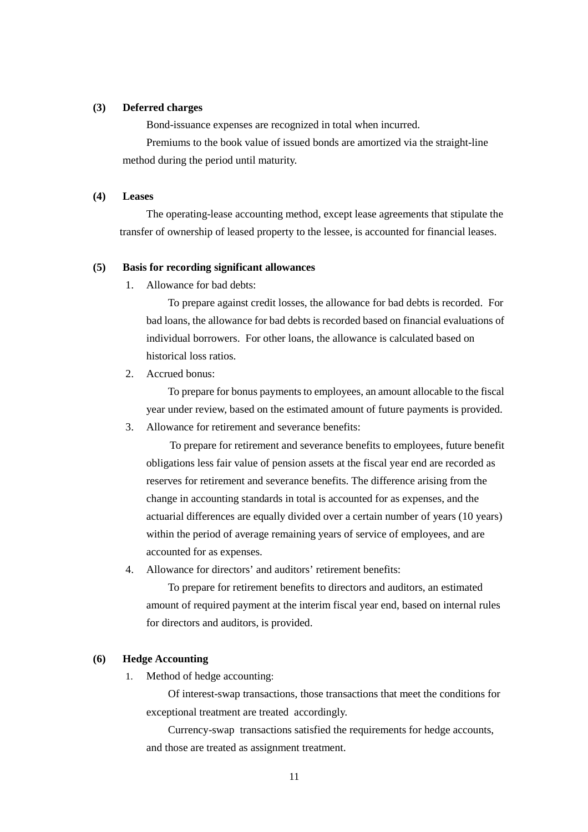#### **(3) Deferred charges**

Bond-issuance expenses are recognized in total when incurred.

Premiums to the book value of issued bonds are amortized via the straight-line method during the period until maturity.

#### **(4) Leases**

The operating-lease accounting method, except lease agreements that stipulate the transfer of ownership of leased property to the lessee, is accounted for financial leases.

#### **(5) Basis for recording significant allowances**

1. Allowance for bad debts:

To prepare against credit losses, the allowance for bad debts is recorded. For bad loans, the allowance for bad debts is recorded based on financial evaluations of individual borrowers. For other loans, the allowance is calculated based on historical loss ratios.

2. Accrued bonus:

To prepare for bonus payments to employees, an amount allocable to the fiscal year under review, based on the estimated amount of future payments is provided.

3. Allowance for retirement and severance benefits:

To prepare for retirement and severance benefits to employees, future benefit obligations less fair value of pension assets at the fiscal year end are recorded as reserves for retirement and severance benefits. The difference arising from the change in accounting standards in total is accounted for as expenses, and the actuarial differences are equally divided over a certain number of years (10 years) within the period of average remaining years of service of employees, and are accounted for as expenses.

4. Allowance for directors' and auditors' retirement benefits:

To prepare for retirement benefits to directors and auditors, an estimated amount of required payment at the interim fiscal year end, based on internal rules for directors and auditors, is provided.

#### **(6) Hedge Accounting**

1. Method of hedge accounting:

Of interest-swap transactions, those transactions that meet the conditions for exceptional treatment are treated accordingly.

Currency-swap transactions satisfied the requirements for hedge accounts, and those are treated as assignment treatment.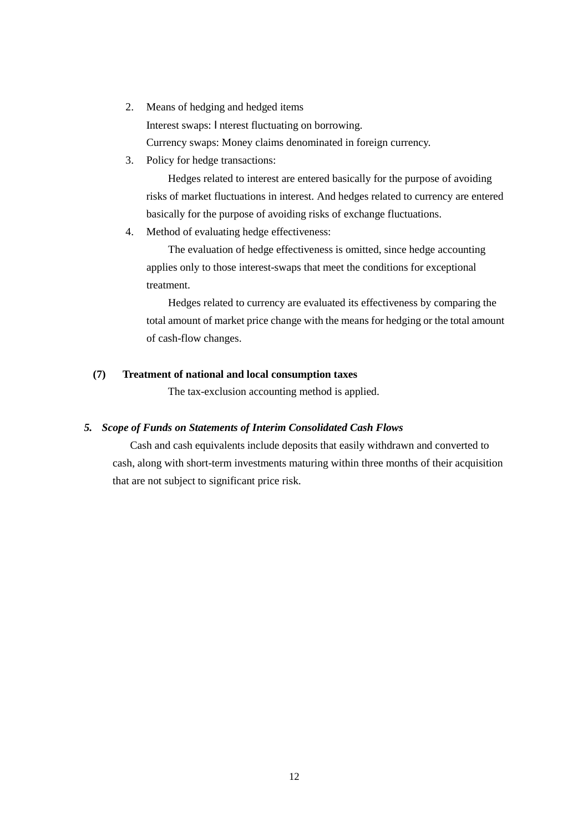- 2. Means of hedging and hedged items Interest swaps: Interest fluctuating on borrowing. Currency swaps: Money claims denominated in foreign currency.
- 3. Policy for hedge transactions:

Hedges related to interest are entered basically for the purpose of avoiding risks of market fluctuations in interest. And hedges related to currency are entered basically for the purpose of avoiding risks of exchange fluctuations.

4. Method of evaluating hedge effectiveness:

The evaluation of hedge effectiveness is omitted, since hedge accounting applies only to those interest-swaps that meet the conditions for exceptional treatment.

Hedges related to currency are evaluated its effectiveness by comparing the total amount of market price change with the means for hedging or the total amount of cash-flow changes.

### **(7) Treatment of national and local consumption taxes**

The tax-exclusion accounting method is applied.

## *5. Scope of Funds on Statements of Interim Consolidated Cash Flows*

Cash and cash equivalents include deposits that easily withdrawn and converted to cash, along with short-term investments maturing within three months of their acquisition that are not subject to significant price risk.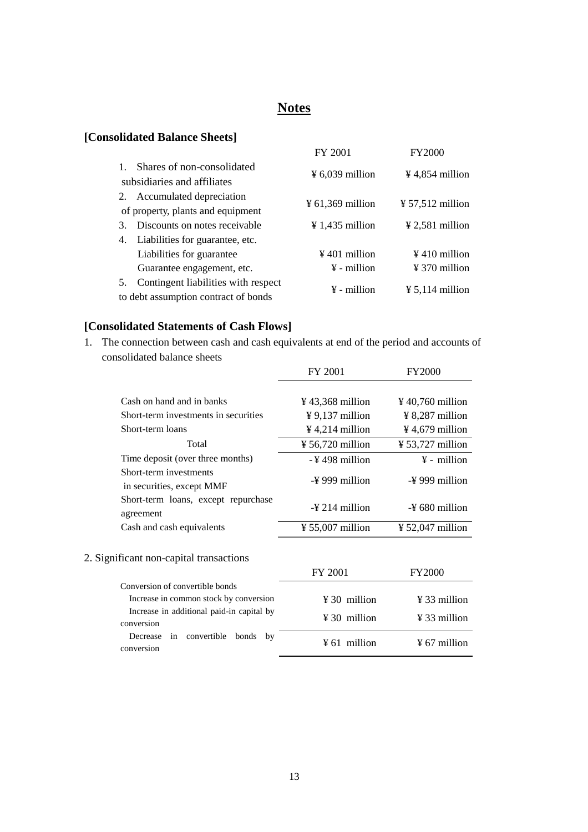# **Notes**

# **[Consolidated Balance Sheets]**

|                                   |                                      | FY 2001                      | <b>FY2000</b>                |  |
|-----------------------------------|--------------------------------------|------------------------------|------------------------------|--|
|                                   | Shares of non-consolidated           | $\frac{1}{2}$ 6,039 million  | $\frac{1}{2}$ 4,854 million  |  |
| subsidiaries and affiliates       |                                      |                              |                              |  |
| 2.                                | Accumulated depreciation             |                              |                              |  |
| of property, plants and equipment |                                      | $\frac{1}{2}$ 61,369 million | $\frac{1}{2}$ 57,512 million |  |
| 3.                                | Discounts on notes receivable        | $\frac{1}{2}$ 1,435 million  | $\frac{1}{2}$ 2,581 million  |  |
| 4.                                | Liabilities for guarantee, etc.      |                              |                              |  |
|                                   | Liabilities for guarantee            | $\frac{1}{2}$ 401 million    | $\frac{1}{2}$ 410 million    |  |
|                                   | Guarantee engagement, etc.           | $\frac{1}{2}$ - million      | $\frac{1}{2}$ 370 million    |  |
| 5.                                | Contingent liabilities with respect  | $\frac{1}{2}$ - million      | $\frac{1}{2}$ 5,114 million  |  |
|                                   | to debt assumption contract of bonds |                              |                              |  |

# **[Consolidated Statements of Cash Flows]**

1. The connection between cash and cash equivalents at end of the period and accounts of consolidated balance sheets

|                                                     | FY 2001                      | <b>FY2000</b>                |
|-----------------------------------------------------|------------------------------|------------------------------|
| Cash on hand and in banks                           | $\frac{1}{2}$ 43,368 million | $\frac{1}{2}$ 40,760 million |
| Short-term investments in securities                | $\frac{1}{2}$ 9,137 million  | $\frac{1}{2}$ 8,287 million  |
| Short-term loans                                    | $\frac{1}{2}$ 4,214 million  | $\frac{1}{2}$ 4,679 million  |
| Total                                               | $\frac{1}{2}$ 56,720 million | $\frac{1}{2}$ 53,727 million |
| Time deposit (over three months)                    | -¥498 million                | $\frac{1}{2}$ - million      |
| Short-term investments<br>in securities, except MMF | $-\frac{1}{2}$ 999 million   | $-\frac{1}{2}$ 999 million   |
| Short-term loans, except repurchase<br>agreement    | $-\frac{1}{2}$ 214 million   | $-\frac{1}{2}$ 680 million   |
| Cash and cash equivalents                           | $\frac{1}{2}$ 55,007 million | $\frac{1}{2}$ 52,047 million |
| 2. Significant non-capital transactions             | FY 2001                      | <b>FY2000</b>                |
| Conversion of convertible bonds                     |                              |                              |
| Increase in common stock by conversion              | $\frac{1}{2}$ 30 million     | $\frac{1}{2}$ 33 million     |

| mercase in common stock by conversion     | $\pm$ 50 пшшон           | $\pm$ 55 шшпон           |
|-------------------------------------------|--------------------------|--------------------------|
| Increase in additional paid-in capital by | $\yen$ 30 million        | $\frac{1}{2}$ 33 million |
| conversion                                |                          |                          |
| Decrease in convertible bonds by          | $\frac{1}{2}$ 61 million | $\frac{1}{2}$ 67 million |
| conversion                                |                          |                          |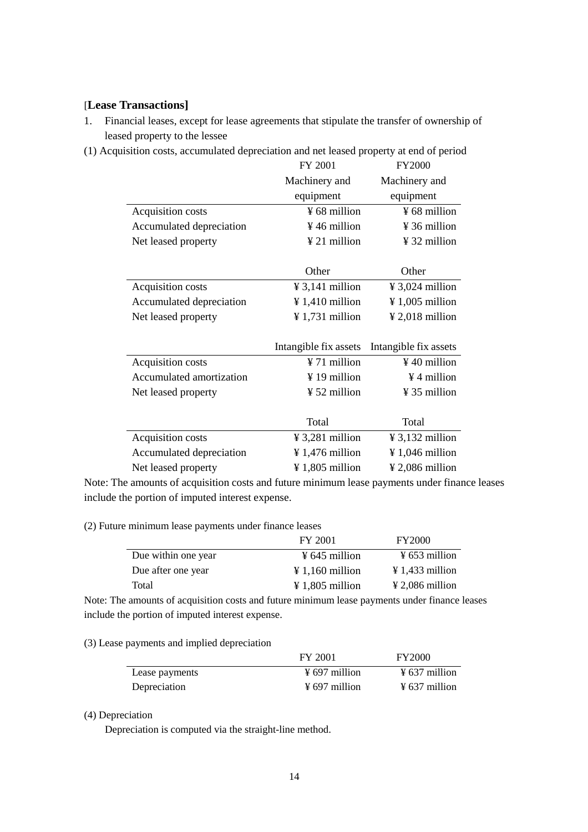## [**Lease Transactions]**

- 1. Financial leases, except for lease agreements that stipulate the transfer of ownership of leased property to the lessee
- (1) Acquisition costs, accumulated depreciation and net leased property at end of period

|                          | FY 2001                     | <b>FY2000</b>               |
|--------------------------|-----------------------------|-----------------------------|
|                          | Machinery and               | Machinery and               |
|                          | equipment                   | equipment                   |
| Acquisition costs        | ¥ 68 million                | $\frac{1}{2}$ 68 million    |
| Accumulated depreciation | ¥46 million                 | ¥ 36 million                |
| Net leased property      | ¥ 21 million                | ¥ 32 million                |
|                          |                             |                             |
|                          | Other                       | Other                       |
| Acquisition costs        | $\frac{1}{2}$ 3,141 million | ¥ 3,024 million             |
| Accumulated depreciation | $\frac{1}{4}$ 1,410 million | $\frac{1}{2}$ 1,005 million |
| Net leased property      | $\frac{1}{2}$ 1,731 million | $\frac{1}{2}$ ,018 million  |
|                          |                             |                             |
|                          | Intangible fix assets       | Intangible fix assets       |
| Acquisition costs        | ¥ 71 million                | $\frac{1}{2}$ 40 million    |
| Accumulated amortization | ¥ 19 million                | ¥4 million                  |
| Net leased property      | ¥ 52 million                | ¥ 35 million                |
|                          |                             |                             |
|                          | Total                       | Total                       |
| Acquisition costs        | $\frac{1}{2}$ 3,281 million | $\frac{1}{2}$ 3,132 million |
| Accumulated depreciation | ¥ 1,476 million             | ¥ 1,046 million             |
| Net leased property      | ¥ 1,805 million             | $\frac{1}{2}$ ,086 million  |

Note: The amounts of acquisition costs and future minimum lease payments under finance leases include the portion of imputed interest expense.

(2) Future minimum lease payments under finance leases

|                     | FY 2001                     | <b>FY2000</b>               |
|---------------------|-----------------------------|-----------------------------|
| Due within one year | $\frac{1}{2}$ 645 million   | $\frac{1}{2}$ 653 million   |
| Due after one year  | $\angle 1.160$ million      | $\angle 1.433$ million      |
| Total               | $\frac{1}{2}$ 1,805 million | $\frac{1}{2}$ 2,086 million |

Note: The amounts of acquisition costs and future minimum lease payments under finance leases include the portion of imputed interest expense.

#### (3) Lease payments and implied depreciation

|                | FY 2001                   | <b>FY2000</b>             |
|----------------|---------------------------|---------------------------|
| Lease payments | $\frac{1}{2}$ 697 million | $\frac{1}{2}$ 637 million |
| Depreciation   | $\frac{1}{2}$ 697 million | $\frac{1}{2}$ 637 million |

#### (4) Depreciation

Depreciation is computed via the straight-line method.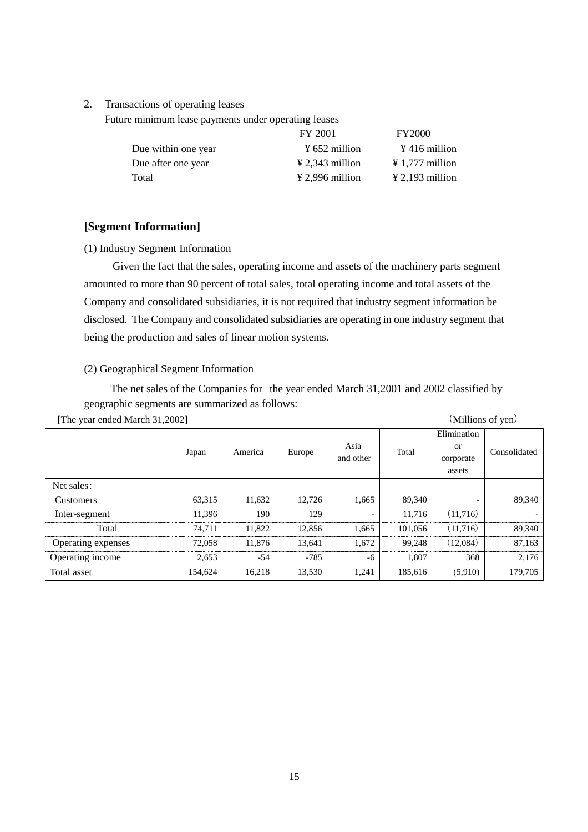#### 2. Transactions of operating leases

Future minimum lease payments under operating leases

|                     | FY 2001                     | <b>FY2000</b>               |
|---------------------|-----------------------------|-----------------------------|
| Due within one year | $\frac{1}{2}$ 652 million   | $\frac{1}{2}$ 416 million   |
| Due after one year  | $\frac{1}{2}$ 2.343 million | $\frac{1}{2}$ 1,777 million |
| Total               | $\frac{1}{2}$ 2,996 million | $\frac{1}{2}$ 2,193 million |

#### **[Segment Information]**

(1) Industry Segment Information

 Given the fact that the sales, operating income and assets of the machinery parts segment amounted to more than 90 percent of total sales, total operating income and total assets of the Company and consolidated subsidiaries, it is not required that industry segment information be disclosed. The Company and consolidated subsidiaries are operating in one industry segment that being the production and sales of linear motion systems.

# (2) Geographical Segment Information

The net sales of the Companies for the year ended March 31,2001 and 2002 classified by geographic segments are summarized as follows:

|                    |         |         |        |           |         | Elimination |              |
|--------------------|---------|---------|--------|-----------|---------|-------------|--------------|
|                    | Japan   | America | Europe | Asia      | Total   | or          | Consolidated |
|                    |         |         |        | and other |         | corporate   |              |
|                    |         |         |        |           |         | assets      |              |
| Net sales:         |         |         |        |           |         |             |              |
| Customers          | 63,315  | 11,632  | 12,726 | 1,665     | 89,340  |             | 89,340       |
| Inter-segment      | 11,396  | 190     | 129    |           | 11,716  | (11,716)    |              |
| Total              | 74.711  | 11.822  | 12.856 | 1.665     | 101,056 | (11,716)    | 89,340       |
| Operating expenses | 72,058  | 11,876  | 13,641 | 1,672     | 99.248  | (12,084)    | 87,163       |
| Operating income   | 2,653   | $-54$   | $-785$ | -6        | 1,807   | 368         | 2,176        |
| Total asset        | 154,624 | 16,218  | 13,530 | 1,241     | 185,616 | (5,910)     | 179,705      |

[The year ended March 31,2002] (Millions of yen)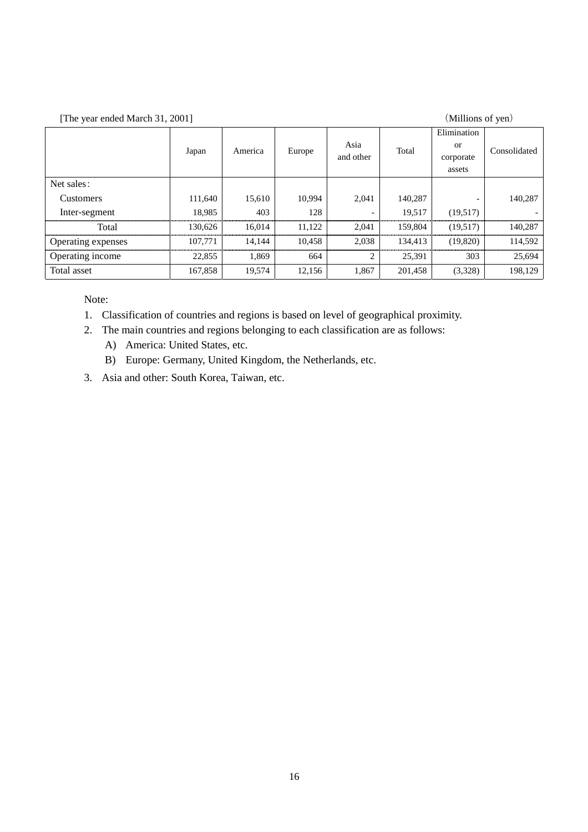[The year ended March 31, 2001] (Millions of yen)

|                    | Japan   | America | Europe | Asia<br>and other | Total   | Elimination<br>or<br>corporate<br>assets | Consolidated |
|--------------------|---------|---------|--------|-------------------|---------|------------------------------------------|--------------|
| Net sales:         |         |         |        |                   |         |                                          |              |
| <b>Customers</b>   | 111,640 | 15,610  | 10,994 | 2.041             | 140,287 |                                          | 140,287      |
| Inter-segment      | 18.985  | 403     | 128    | -                 | 19.517  | (19,517)                                 |              |
| Total              | 130,626 | 16,014  | 11,122 | 2,041             | 159,804 | (19,517)                                 | 140,287      |
| Operating expenses | 107.771 | 14.144  | 10.458 | 2.038             | 134.413 | (19,820)                                 | 114,592      |
| Operating income   | 22,855  | 1.869   | 664    | 2                 | 25.391  | 303                                      | 25,694       |
| Total asset        | 167,858 | 19,574  | 12,156 | 1,867             | 201,458 | (3,328)                                  | 198,129      |

Note:

- 1. Classification of countries and regions is based on level of geographical proximity.
- 2. The main countries and regions belonging to each classification are as follows:
	- A) America: United States, etc.
	- B) Europe: Germany, United Kingdom, the Netherlands, etc.
- 3. Asia and other: South Korea, Taiwan, etc.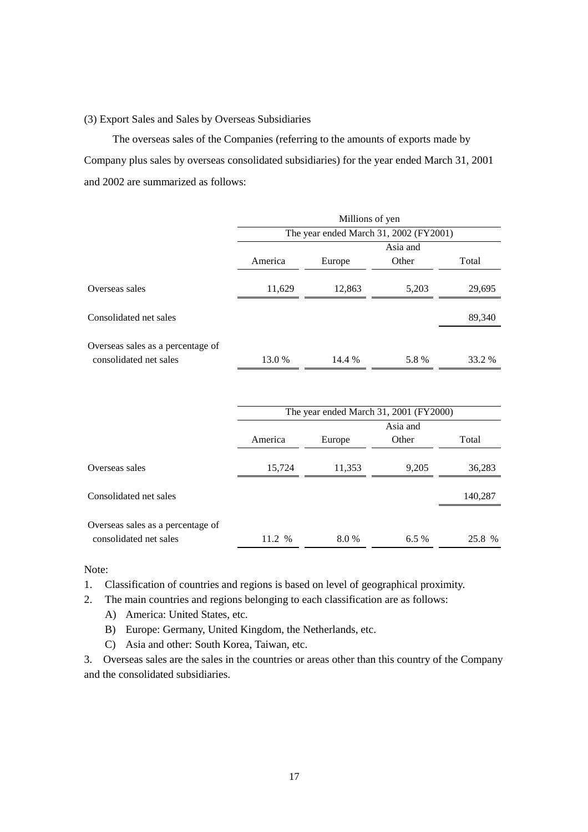#### (3) Export Sales and Sales by Overseas Subsidiaries

 The overseas sales of the Companies (referring to the amounts of exports made by Company plus sales by overseas consolidated subsidiaries) for the year ended March 31, 2001 and 2002 are summarized as follows:

|                                   | Millions of yen                                                         |        |          |        |
|-----------------------------------|-------------------------------------------------------------------------|--------|----------|--------|
|                                   | The year ended March 31, 2002 (FY2001)                                  |        |          |        |
|                                   |                                                                         |        | Asia and |        |
|                                   | America                                                                 | Europe | Other    | Total  |
| Overseas sales                    | 11,629                                                                  | 12,863 | 5,203    | 29,695 |
| Consolidated net sales            |                                                                         |        |          | 89,340 |
| Overseas sales as a percentage of |                                                                         |        |          |        |
| consolidated net sales            | 13.0 %                                                                  | 14.4 % | 5.8%     | 33.2 % |
|                                   |                                                                         |        |          |        |
|                                   | The year ended March 31, 2001 (FY2000)<br>$\lambda$ $\lambda$ $\lambda$ |        |          |        |
|                                   |                                                                         |        |          |        |

|                                                             | $1.10$ , $1.000$ , $1.100$ , $1.000$ , $1.000$ , $1.000$ , $1.000$ , $1.000$ , $1.000$ , $1.000$ , $1.000$ , $1.000$ , $1.000$ , $1.000$ , $1.000$ , $1.000$ , $1.000$ , $1.000$ , $1.000$ , $1.000$ , $1.000$ , $1.000$ , $1.000$ , $1.000$ , $1.000$ |        |       |         |  |
|-------------------------------------------------------------|--------------------------------------------------------------------------------------------------------------------------------------------------------------------------------------------------------------------------------------------------------|--------|-------|---------|--|
|                                                             | Asia and                                                                                                                                                                                                                                               |        |       |         |  |
|                                                             | America                                                                                                                                                                                                                                                | Europe | Other | Total   |  |
| Overseas sales                                              | 15,724                                                                                                                                                                                                                                                 | 11,353 | 9,205 | 36,283  |  |
| Consolidated net sales                                      |                                                                                                                                                                                                                                                        |        |       | 140,287 |  |
| Overseas sales as a percentage of<br>consolidated net sales | 11.2 %                                                                                                                                                                                                                                                 | 8.0%   | 6.5%  | 25.8 %  |  |

Note:

- 1. Classification of countries and regions is based on level of geographical proximity.
- 2. The main countries and regions belonging to each classification are as follows:
	- A) America: United States, etc.
	- B) Europe: Germany, United Kingdom, the Netherlands, etc.
	- C) Asia and other: South Korea, Taiwan, etc.

3. Overseas sales are the sales in the countries or areas other than this country of the Company and the consolidated subsidiaries.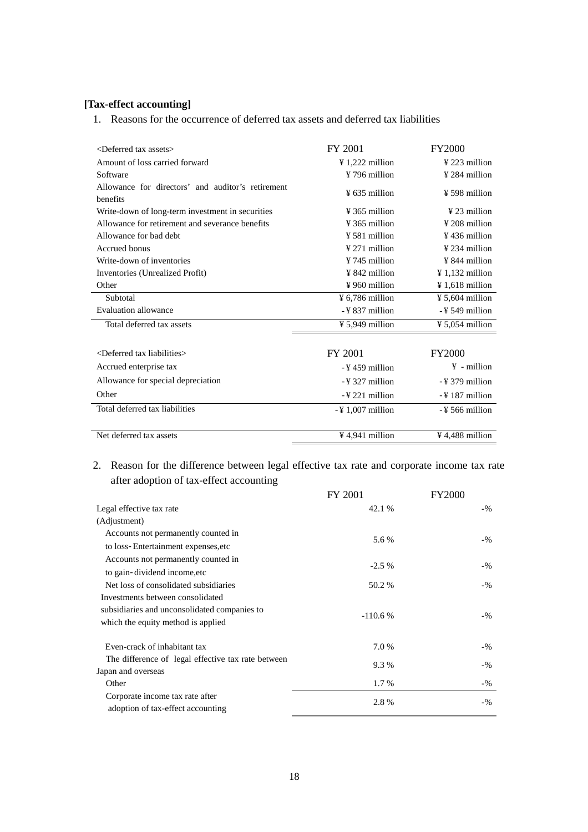## **[Tax-effect accounting]**

1. Reasons for the occurrence of deferred tax assets and deferred tax liabilities

| <deferred assets="" tax=""></deferred>                        | FY 2001                     | <b>FY2000</b>               |
|---------------------------------------------------------------|-----------------------------|-----------------------------|
| Amount of loss carried forward                                | $\frac{1}{222}$ million     | $\frac{1}{2}$ 223 million   |
| Software                                                      | ¥ 796 million               | $\frac{1}{2}$ 284 million   |
| Allowance for directors' and auditor's retirement<br>benefits | $\frac{1}{2}$ 635 million   | $\frac{1}{2}$ 598 million   |
| Write-down of long-term investment in securities              | $\frac{1}{2}$ 365 million   | $\frac{1}{2}$ 23 million    |
| Allowance for retirement and severance benefits               | $¥$ 365 million             | $\frac{1}{2}$ 208 million   |
| Allowance for bad debt                                        | ¥ 581 million               | $\frac{1}{2}$ 436 million   |
| Accrued bonus                                                 | $\frac{1}{271}$ million     | $\frac{1}{2}$ 234 million   |
| Write-down of inventories                                     | $¥ 745$ million             | $\frac{1}{2}$ 844 million   |
| Inventories (Unrealized Profit)                               | ¥ 842 million               | $\frac{1}{2}$ 1,132 million |
| Other                                                         | $\frac{1}{2}$ 960 million   | $\frac{1}{2}$ 1,618 million |
| Subtotal                                                      | $\frac{1}{2}$ 6,786 million | $\frac{1}{2}$ 5,604 million |
| Evaluation allowance                                          | -¥837 million               | $-$ ¥ 549 million           |
| Total deferred tax assets                                     | $\frac{1}{2}$ 5,949 million | $\frac{1}{2}$ 5,054 million |
|                                                               |                             |                             |
| <deferred liabilities="" tax=""></deferred>                   | FY 2001                     | <b>FY2000</b>               |
| Accrued enterprise tax                                        | -¥459 million               | $\angle$ + million          |
| Allowance for special depreciation                            | -¥ 327 million              | $-$ ¥ 379 million           |
| Other                                                         | $-$ ¥ 221 million           | $-$ ¥ 187 million           |
| Total deferred tax liabilities                                | $-4$ 1,007 million          | $-$ ¥ 566 million           |
|                                                               |                             |                             |
| Net deferred tax assets                                       | $\frac{1}{2}$ 4,941 million | $\frac{1}{2}$ 4,488 million |

2. Reason for the difference between legal effective tax rate and corporate income tax rate after adoption of tax-effect accounting

|                                                                                                                        | FY 2001   | <b>FY2000</b> |
|------------------------------------------------------------------------------------------------------------------------|-----------|---------------|
| Legal effective tax rate                                                                                               | 42.1 %    | $-9/0$        |
| (Adjustment)                                                                                                           |           |               |
| Accounts not permanently counted in                                                                                    |           |               |
| to loss-Entertainment expenses, etc.                                                                                   | 5.6 %     | $-9/0$        |
| Accounts not permanently counted in<br>to gain-dividend income, etc                                                    | $-2.5\%$  | $-9/0$        |
| Net loss of consolidated subsidiaries                                                                                  | 50.2 %    | $-9/0$        |
| Investments between consolidated<br>subsidiaries and unconsolidated companies to<br>which the equity method is applied | $-110.6%$ | $-9/0$        |
| Even-crack of inhabitant tax                                                                                           | 7.0 %     | $-9/0$        |
| The difference of legal effective tax rate between<br>Japan and overseas                                               | 9.3%      | $-9/6$        |
| Other                                                                                                                  | 1.7 %     | $-9/0$        |
| Corporate income tax rate after<br>adoption of tax-effect accounting                                                   | 2.8%      | $-9/6$        |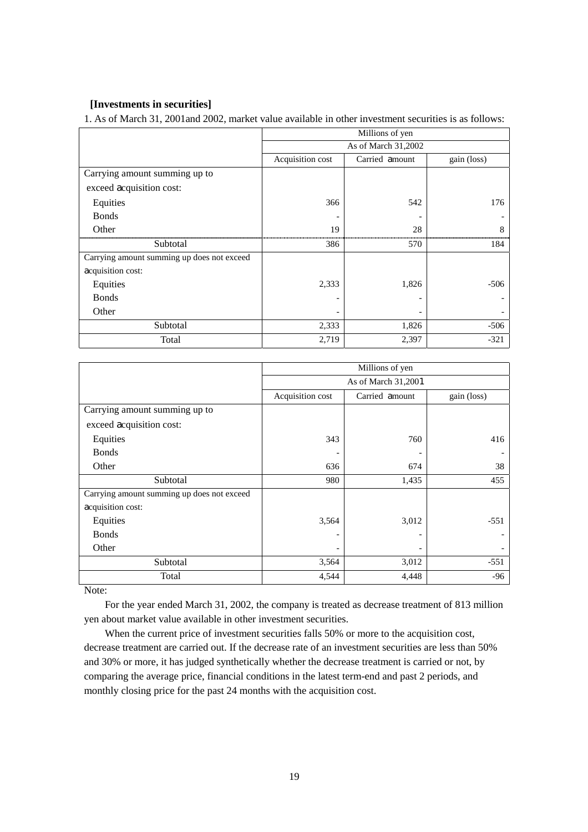#### **[Investments in securities]**

1. As of March 31, 2001and 2002, market value available in other investment securities is as follows:

|                                            | Millions of yen                                   |       |        |
|--------------------------------------------|---------------------------------------------------|-------|--------|
|                                            | As of March 31,2002                               |       |        |
|                                            | Acquisition cost<br>Carried amount<br>gain (loss) |       |        |
| Carrying amount summing up to              |                                                   |       |        |
| exceed acquisition cost:                   |                                                   |       |        |
| Equities                                   | 366                                               | 542   | 176    |
| <b>Bonds</b>                               |                                                   |       |        |
| Other                                      | 19                                                | 28    | 8      |
| Subtotal                                   | 386                                               | 570   | 184    |
| Carrying amount summing up does not exceed |                                                   |       |        |
| acquisition cost:                          |                                                   |       |        |
| Equities                                   | 2,333                                             | 1,826 | $-506$ |
| <b>Bonds</b>                               |                                                   |       |        |
| Other                                      |                                                   |       |        |
| Subtotal                                   | 2,333                                             | 1,826 | $-506$ |
| Total                                      | 2,719                                             | 2,397 | $-321$ |

|                                            | Millions of yen     |                |             |  |
|--------------------------------------------|---------------------|----------------|-------------|--|
|                                            | As of March 31,2001 |                |             |  |
|                                            | Acquisition cost    | Carried amount | gain (loss) |  |
| Carrying amount summing up to              |                     |                |             |  |
| exceed acquisition cost:                   |                     |                |             |  |
| Equities                                   | 343                 | 760            | 416         |  |
| <b>Bonds</b>                               |                     |                |             |  |
| Other                                      | 636                 | 674            | 38          |  |
| Subtotal                                   | 980                 | 1,435          | 455         |  |
| Carrying amount summing up does not exceed |                     |                |             |  |
| acquisition cost:                          |                     |                |             |  |
| Equities                                   | 3,564               | 3,012          | $-551$      |  |
| <b>Bonds</b>                               |                     |                |             |  |
| Other                                      |                     |                |             |  |
| Subtotal                                   | 3,564               | 3,012          | $-551$      |  |
| Total                                      | 4,544               | 4,448          | $-96$       |  |

Note:

For the year ended March 31, 2002, the company is treated as decrease treatment of 813 million yen about market value available in other investment securities.

When the current price of investment securities falls 50% or more to the acquisition cost, decrease treatment are carried out. If the decrease rate of an investment securities are less than 50% and 30% or more, it has judged synthetically whether the decrease treatment is carried or not, by comparing the average price, financial conditions in the latest term-end and past 2 periods, and monthly closing price for the past 24 months with the acquisition cost.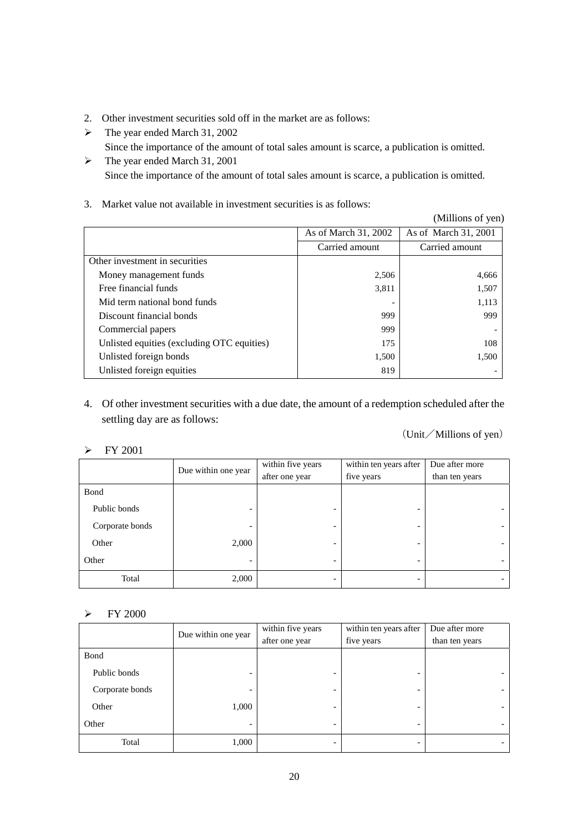- 2. Other investment securities sold off in the market are as follows:
- ¾ The year ended March 31, 2002
	- Since the importance of the amount of total sales amount is scarce, a publication is omitted.
- $\blacktriangleright$  The year ended March 31, 2001 Since the importance of the amount of total sales amount is scarce, a publication is omitted.
- 3. Market value not available in investment securities is as follows:

|                                            |                      | (Millions of yen)    |
|--------------------------------------------|----------------------|----------------------|
|                                            | As of March 31, 2002 | As of March 31, 2001 |
|                                            | Carried amount       | Carried amount       |
| Other investment in securities             |                      |                      |
| Money management funds                     | 2,506                | 4,666                |
| Free financial funds                       | 3,811                | 1,507                |
| Mid term national bond funds               |                      | 1,113                |
| Discount financial bonds                   | 999                  | 999                  |
| Commercial papers                          | 999                  |                      |
| Unlisted equities (excluding OTC equities) | 175                  | 108                  |
| Unlisted foreign bonds                     | 1,500                | 1,500                |
| Unlisted foreign equities                  | 819                  |                      |

4. Of other investment securities with a due date, the amount of a redemption scheduled after the settling day are as follows:

### (Unit/Millions of yen)

#### $\triangleright$  FY 2001

|                 |                          | within five years        | within ten years after | Due after more |
|-----------------|--------------------------|--------------------------|------------------------|----------------|
|                 | Due within one year      | after one year           | five years             | than ten years |
| Bond            |                          |                          |                        |                |
| Public bonds    | $\overline{\phantom{0}}$ | ۰                        | -                      |                |
| Corporate bonds |                          | $\overline{\phantom{0}}$ |                        |                |
| Other           | 2,000                    | -                        |                        |                |
| Other           | $\overline{\phantom{0}}$ | $\overline{\phantom{a}}$ | -                      |                |
| Total           | 2,000                    | $\overline{\phantom{0}}$ |                        |                |

#### $\triangleright$  FY 2000

|                 | Due within one year      | within five years | within ten years after | Due after more |
|-----------------|--------------------------|-------------------|------------------------|----------------|
|                 |                          | after one year    | five years             | than ten years |
| Bond            |                          |                   |                        |                |
| Public bonds    |                          | -                 |                        |                |
| Corporate bonds |                          |                   |                        |                |
| Other           | 1,000                    | -                 | -                      |                |
| Other           | $\overline{\phantom{0}}$ | ۰                 | -                      |                |
| Total           | 1,000                    | -                 |                        |                |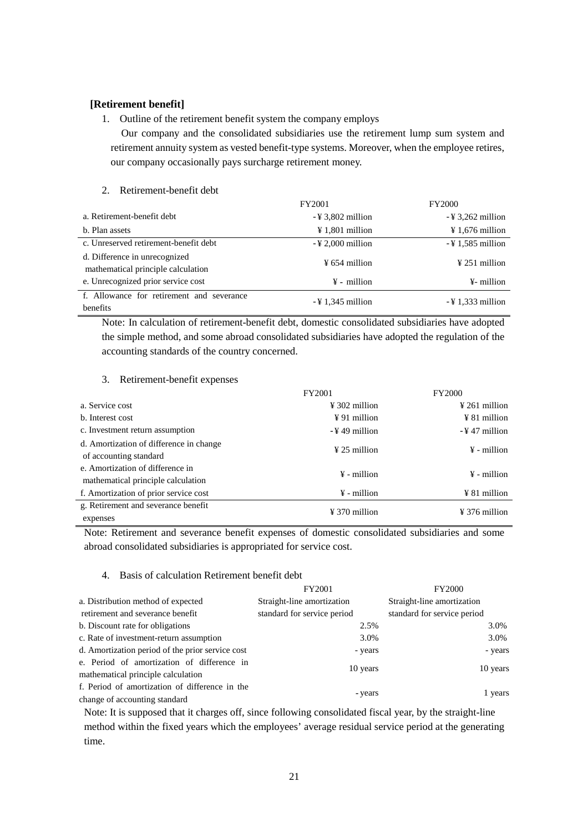#### **[Retirement benefit]**

#### 1. Outline of the retirement benefit system the company employs

Our company and the consolidated subsidiaries use the retirement lump sum system and retirement annuity system as vested benefit-type systems. Moreover, when the employee retires, our company occasionally pays surcharge retirement money.

#### 2. Retirement-benefit debt

|                                           | FY2001                       | <b>FY2000</b>                |
|-------------------------------------------|------------------------------|------------------------------|
| a. Retirement-benefit debt                | $-\frac{1}{2}3,802$ million  | $-$ ¥ 3,262 million          |
| b. Plan assets                            | $\frac{1}{2}$ 1,801 million  | $\frac{1}{2}$ 1,676 million  |
| c. Unreserved retirement-benefit debt     | $-\frac{1}{2}$ 2,000 million | $-41,585$ million            |
| d. Difference in unrecognized             | $\frac{1}{2}$ 654 million    | $\frac{1}{2}$ 251 million    |
| mathematical principle calculation        |                              |                              |
| e. Unrecognized prior service cost        | $\frac{1}{2}$ - million      | ¥- million                   |
| f. Allowance for retirement and severance | $-\frac{1}{2}$ 1,345 million | $-\frac{1}{2}$ 1,333 million |
| benefits                                  |                              |                              |

Note: In calculation of retirement-benefit debt, domestic consolidated subsidiaries have adopted the simple method, and some abroad consolidated subsidiaries have adopted the regulation of the accounting standards of the country concerned.

#### 3. Retirement-benefit expenses

|                                                                        | FY2001                    | <b>FY2000</b>             |
|------------------------------------------------------------------------|---------------------------|---------------------------|
| a. Service cost                                                        | $\frac{1}{2}$ 302 million | $\frac{1}{2}$ 261 million |
| b. Interest cost                                                       | $\frac{1}{2}$ 91 million  | $\angle 81$ million       |
| c. Investment return assumption                                        | -¥49 million              | $-$ ¥ 47 million          |
| d. Amortization of difference in change<br>of accounting standard      | $\frac{1}{2}$ 25 million  | $\frac{1}{2}$ - million   |
| e. Amortization of difference in<br>mathematical principle calculation | $\frac{1}{2}$ - million   | $\frac{1}{2}$ - million   |
| f. Amortization of prior service cost                                  | $\frac{1}{2}$ - million   | $\angle$ 81 million       |
| g. Retirement and severance benefit<br>expenses                        | $\frac{1}{2}$ 370 million | $\frac{1}{2}$ 376 million |

Note: Retirement and severance benefit expenses of domestic consolidated subsidiaries and some abroad consolidated subsidiaries is appropriated for service cost.

#### 4. Basis of calculation Retirement benefit debt

|                                                  | FY2001                      | <b>FY2000</b>               |
|--------------------------------------------------|-----------------------------|-----------------------------|
| a. Distribution method of expected               | Straight-line amortization  | Straight-line amortization  |
| retirement and severance benefit                 | standard for service period | standard for service period |
| b. Discount rate for obligations                 | 2.5%                        | 3.0%                        |
| c. Rate of investment-return assumption          | 3.0%                        | 3.0%                        |
| d. Amortization period of the prior service cost | - years                     | - years                     |
| e. Period of amortization of difference in       |                             |                             |
| mathematical principle calculation               | 10 years                    | 10 years                    |
| f. Period of amortization of difference in the   |                             |                             |
| change of accounting standard                    | - years                     | 1 years                     |

Note: It is supposed that it charges off, since following consolidated fiscal year, by the straight-line method within the fixed years which the employees' average residual service period at the generating time.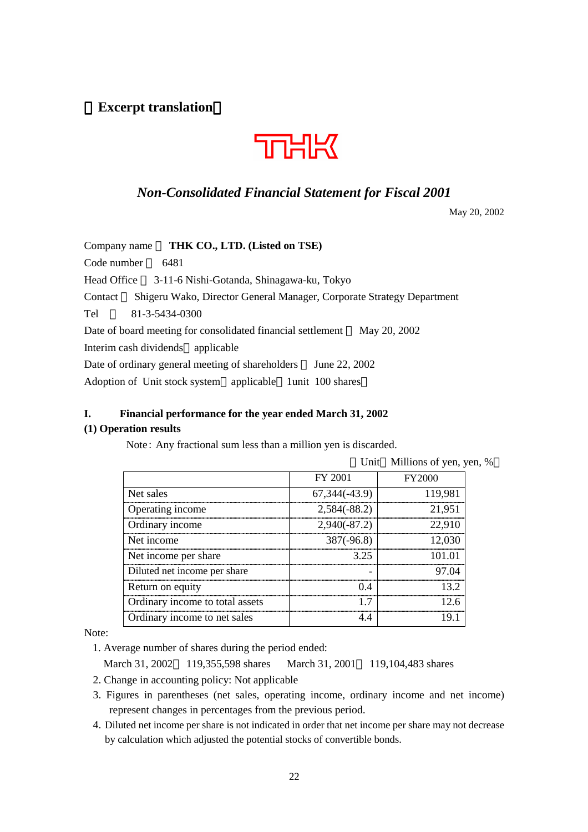**Excerpt translation**



# *Non-Consolidated Financial Statement for Fiscal 2001*

May 20, 2002

| THK CO., LTD. (Listed on TSE)<br>Company name                                    |
|----------------------------------------------------------------------------------|
| Code number<br>6481                                                              |
| Head Office<br>3-11-6 Nishi-Gotanda, Shinagawa-ku, Tokyo                         |
| Shigeru Wako, Director General Manager, Corporate Strategy Department<br>Contact |
| Tel<br>81-3-5434-0300                                                            |
| May 20, 2002<br>Date of board meeting for consolidated financial settlement      |
| Interim cash dividends applicable                                                |
| Date of ordinary general meeting of shareholders<br>June 22, 2002                |
| Adoption of Unit stock system applicable 1 unit 100 shares                       |

# **I. Financial performance for the year ended March 31, 2002**

# **(1) Operation results**

Note: Any fractional sum less than a million yen is discarded.

|                                 |                 | Unit Millions of yen, yen, % |  |
|---------------------------------|-----------------|------------------------------|--|
|                                 | FY 2001         | <b>FY2000</b>                |  |
| Net sales                       | 67, 344 (-43.9) | 119.981                      |  |
| Operating income                | $2,584(-88.2)$  | 21.951                       |  |
| Ordinary income                 | $2,940(-87.2)$  | 22.910                       |  |
| Net income                      | $387(-96.8)$    |                              |  |
| Net income per share            | 3.25            | 101 01                       |  |
| Diluted net income per share    |                 | 97 ()4                       |  |
| Return on equity                |                 | 13 2                         |  |
| Ordinary income to total assets |                 | 126                          |  |
| Ordinary income to net sales    |                 |                              |  |

Note:

1. Average number of shares during the period ended:

March 31, 2002 119,355,598 shares March 31, 2001 119,104,483 shares

- 2. Change in accounting policy: Not applicable
- 3. Figures in parentheses (net sales, operating income, ordinary income and net income) represent changes in percentages from the previous period.
- 4. Diluted net income per share is not indicated in order that net income per share may not decrease by calculation which adjusted the potential stocks of convertible bonds.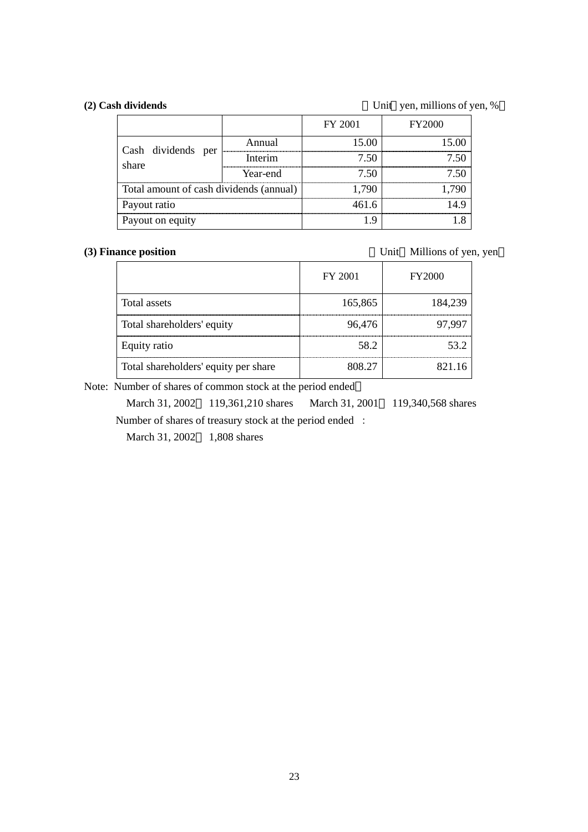(2) Cash dividends Unit yen, millions of yen, %

|                                         |          | FY 2001 | <b>FY2000</b> |
|-----------------------------------------|----------|---------|---------------|
| Cash dividends per                      | Annual   | 15.00   | 15 OO         |
| share                                   | Interim  | 7.50    |               |
|                                         | Year-end | 7 50    |               |
| Total amount of cash dividends (annual) |          | 790     |               |
| Payout ratio                            |          | 461 6   |               |
| Payout on equity                        |          |         |               |

(3) Finance position Unit Millions of yen, yen

|                                      | FY 2001 | FY2000  |
|--------------------------------------|---------|---------|
| Total assets                         | 165,865 | 184,239 |
| Total shareholders' equity           | 96,476  | 97 997  |
| Equity ratio                         | 58.2    | 53 Z    |
| Total shareholders' equity per share | 808.27  | 821 16  |

Note: Number of shares of common stock at the period ended

March 31, 2002 119,361,210 shares March 31, 2001 119,340,568 shares Number of shares of treasury stock at the period ended :

March 31, 2002 1,808 shares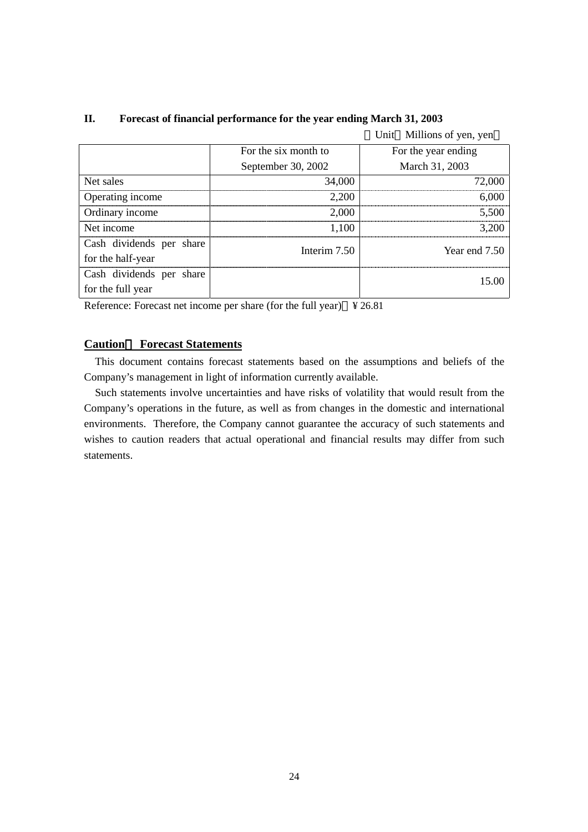|                          |                      | Unit Millions of yen, yen |
|--------------------------|----------------------|---------------------------|
|                          | For the six month to | For the year ending       |
|                          | September 30, 2002   | March 31, 2003            |
| Net sales                | 34,000               | 72,000                    |
| Operating income         | 2,200                | 6,000                     |
| Ordinary income          | 2,000                | 5.500                     |
| Net income               | 1,100                | 3,200                     |
| Cash dividends per share | Interim 7.50         | Year end 7.50             |
| for the half-year        |                      |                           |
| Cash dividends per share |                      | 15.00                     |
| for the full year        |                      |                           |

### **II. Forecast of financial performance for the year ending March 31, 2003**

Reference: Forecast net income per share (for the full year) ¥ 26.81

## **Caution Forecast Statements**

This document contains forecast statements based on the assumptions and beliefs of the Company's management in light of information currently available.

Such statements involve uncertainties and have risks of volatility that would result from the Company's operations in the future, as well as from changes in the domestic and international environments. Therefore, the Company cannot guarantee the accuracy of such statements and wishes to caution readers that actual operational and financial results may differ from such statements.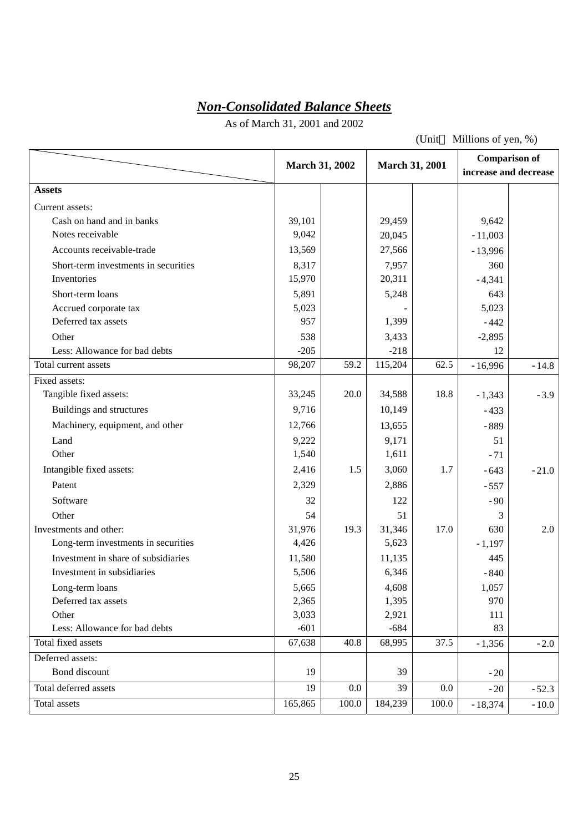# *Non-Consolidated Balance Sheets*

As of March 31, 2001 and 2002

(Unit Millions of yen, %)

|                                      | March 31, 2002 |         | <b>March 31, 2001</b> |       | <b>Comparison of</b><br>increase and decrease |         |
|--------------------------------------|----------------|---------|-----------------------|-------|-----------------------------------------------|---------|
| <b>Assets</b>                        |                |         |                       |       |                                               |         |
| Current assets:                      |                |         |                       |       |                                               |         |
| Cash on hand and in banks            | 39,101         |         | 29,459                |       | 9,642                                         |         |
| Notes receivable                     | 9,042          |         | 20,045                |       | $-11,003$                                     |         |
| Accounts receivable-trade            | 13,569         |         | 27,566                |       | $-13,996$                                     |         |
| Short-term investments in securities | 8,317          |         | 7,957                 |       | 360                                           |         |
| Inventories                          | 15,970         |         | 20,311                |       | $-4,341$                                      |         |
| Short-term loans                     | 5,891          |         | 5,248                 |       | 643                                           |         |
| Accrued corporate tax                | 5,023          |         |                       |       | 5,023                                         |         |
| Deferred tax assets                  | 957            |         | 1,399                 |       | $-442$                                        |         |
| Other                                | 538            |         | 3,433                 |       | $-2,895$                                      |         |
| Less: Allowance for bad debts        | $-205$         |         | $-218$                |       | 12                                            |         |
| Total current assets                 | 98,207         | 59.2    | 115,204               | 62.5  | $-16,996$                                     | $-14.8$ |
| Fixed assets:                        |                |         |                       |       |                                               |         |
| Tangible fixed assets:               | 33,245         | 20.0    | 34,588                | 18.8  | $-1,343$                                      | $-3.9$  |
| Buildings and structures             | 9,716          |         | 10,149                |       | $-433$                                        |         |
| Machinery, equipment, and other      | 12,766         |         | 13,655                |       | $-889$                                        |         |
| Land                                 | 9,222          |         | 9,171                 |       | 51                                            |         |
| Other                                | 1,540          |         | 1,611                 |       | $-71$                                         |         |
| Intangible fixed assets:             | 2,416          | 1.5     | 3,060                 | 1.7   | $-643$                                        | $-21.0$ |
| Patent                               | 2,329          |         | 2,886                 |       | $-557$                                        |         |
| Software                             | 32             |         | 122                   |       | $-90$                                         |         |
| Other                                | 54             |         | 51                    |       | 3                                             |         |
| Investments and other:               | 31,976         | 19.3    | 31,346                | 17.0  | 630                                           | 2.0     |
| Long-term investments in securities  | 4,426          |         | 5,623                 |       | $-1,197$                                      |         |
| Investment in share of subsidiaries  | 11,580         |         | 11,135                |       | 445                                           |         |
| Investment in subsidiaries           | 5,506          |         | 6,346                 |       | $-840$                                        |         |
| Long-term loans                      | 5,665          |         | 4,608                 |       | 1,057                                         |         |
| Deferred tax assets                  | 2,365          |         | 1,395                 |       | 970                                           |         |
| Other                                | 3,033          |         | 2,921                 |       | 111                                           |         |
| Less: Allowance for bad debts        | $-601$         |         | $-684$                |       | 83                                            |         |
| Total fixed assets                   | 67,638         | 40.8    | 68,995                | 37.5  | $-1,356$                                      | $-2.0$  |
| Deferred assets:                     |                |         |                       |       |                                               |         |
| Bond discount                        | 19             |         | 39                    |       | $-20$                                         |         |
| Total deferred assets                | 19             | $0.0\,$ | 39                    | 0.0   | $-20$                                         | $-52.3$ |
| Total assets                         | 165,865        | 100.0   | 184,239               | 100.0 | $-18,374$                                     | $-10.0$ |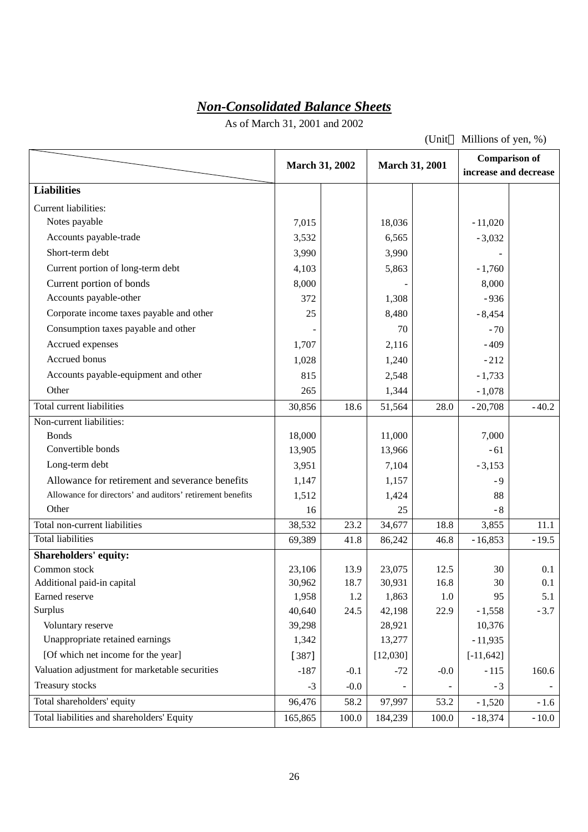# *Non-Consolidated Balance Sheets*

As of March 31, 2001 and 2002

(Unit Millions of yen, %)

|                                                            |         | <b>March 31, 2002</b> |          | <b>March 31, 2001</b> | increase and decrease | <b>Comparison of</b> |
|------------------------------------------------------------|---------|-----------------------|----------|-----------------------|-----------------------|----------------------|
| <b>Liabilities</b>                                         |         |                       |          |                       |                       |                      |
| Current liabilities:                                       |         |                       |          |                       |                       |                      |
| Notes payable                                              | 7,015   |                       | 18,036   |                       | $-11,020$             |                      |
| Accounts payable-trade                                     | 3,532   |                       | 6,565    |                       | $-3,032$              |                      |
| Short-term debt                                            | 3,990   |                       | 3,990    |                       |                       |                      |
| Current portion of long-term debt                          | 4,103   |                       | 5,863    |                       | $-1,760$              |                      |
| Current portion of bonds                                   | 8,000   |                       |          |                       | 8,000                 |                      |
| Accounts payable-other                                     | 372     |                       | 1,308    |                       | $-936$                |                      |
| Corporate income taxes payable and other                   | 25      |                       | 8,480    |                       | $-8,454$              |                      |
| Consumption taxes payable and other                        |         |                       | 70       |                       | $-70$                 |                      |
| Accrued expenses                                           | 1,707   |                       | 2,116    |                       | $-409$                |                      |
| Accrued bonus                                              | 1,028   |                       | 1,240    |                       | $-212$                |                      |
| Accounts payable-equipment and other                       | 815     |                       | 2,548    |                       | $-1,733$              |                      |
| Other                                                      | 265     |                       | 1,344    |                       | $-1,078$              |                      |
| Total current liabilities                                  | 30,856  | 18.6                  | 51,564   | 28.0                  | $-20,708$             | $-40.2$              |
| Non-current liabilities:                                   |         |                       |          |                       |                       |                      |
| <b>Bonds</b>                                               | 18,000  |                       | 11,000   |                       | 7,000                 |                      |
| Convertible bonds                                          | 13,905  |                       | 13,966   |                       | $-61$                 |                      |
| Long-term debt                                             | 3,951   |                       | 7,104    |                       | $-3,153$              |                      |
| Allowance for retirement and severance benefits            | 1,147   |                       | 1,157    |                       | $-9$                  |                      |
| Allowance for directors' and auditors' retirement benefits | 1,512   |                       | 1,424    |                       | 88                    |                      |
| Other                                                      | 16      |                       | 25       |                       | $-8$                  |                      |
| Total non-current liabilities                              | 38,532  | 23.2                  | 34,677   | 18.8                  | 3,855                 | 11.1                 |
| <b>Total liabilities</b>                                   | 69,389  | 41.8                  | 86,242   | 46.8                  | $-16,853$             | $-19.5$              |
| <b>Shareholders' equity:</b>                               |         |                       |          |                       |                       |                      |
| Common stock                                               | 23,106  | 13.9                  | 23,075   | 12.5                  | 30                    | 0.1                  |
| Additional paid-in capital                                 | 30,962  | 18.7                  | 30,931   | 16.8                  | 30                    | 0.1                  |
| Earned reserve                                             | 1,958   | $1.2\,$               | 1,863    | 1.0                   | 95                    | 5.1                  |
| Surplus                                                    | 40,640  | 24.5                  | 42,198   | 22.9                  | $-1,558$              | $-3.7$               |
| Voluntary reserve                                          | 39,298  |                       | 28,921   |                       | 10,376                |                      |
| Unappropriate retained earnings                            | 1,342   |                       | 13,277   |                       | $-11,935$             |                      |
| [Of which net income for the year]                         | $[387]$ |                       | [12,030] |                       | $[-11, 642]$          |                      |
| Valuation adjustment for marketable securities             | $-187$  | $-0.1$                | $-72$    | $-0.0$                | $-115$                | 160.6                |
| Treasury stocks                                            | $-3$    | $-0.0$                |          |                       | $-3$                  |                      |
| Total shareholders' equity                                 | 96,476  | 58.2                  | 97,997   | 53.2                  | $-1,520$              | $-1.6$               |
| Total liabilities and shareholders' Equity                 | 165,865 | 100.0                 | 184,239  | 100.0                 | $-18,374$             | $-10.0$              |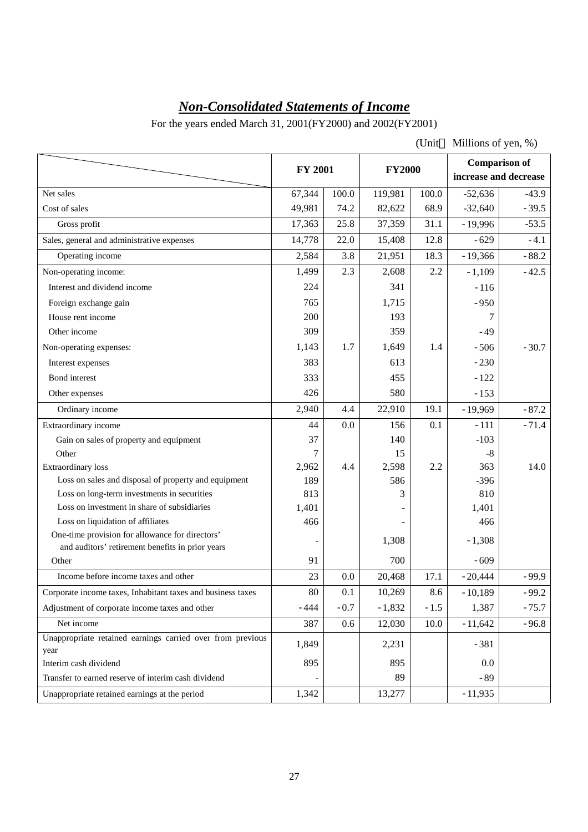# *Non-Consolidated Statements of Income*

For the years ended March 31, 2001(FY2000) and 2002(FY2001)

(Unit Millions of yen, %)

|                                                                                                     | <b>FY 2001</b> |        | <b>FY2000</b> |        | <b>Comparison of</b><br>increase and decrease |         |
|-----------------------------------------------------------------------------------------------------|----------------|--------|---------------|--------|-----------------------------------------------|---------|
| Net sales                                                                                           | 67,344         | 100.0  | 119,981       | 100.0  | $-52,636$                                     | $-43.9$ |
| Cost of sales                                                                                       | 49,981         | 74.2   | 82,622        | 68.9   | $-32,640$                                     | $-39.5$ |
| Gross profit                                                                                        | 17,363         | 25.8   | 37,359        | 31.1   | $-19,996$                                     | $-53.5$ |
| Sales, general and administrative expenses                                                          | 14,778         | 22.0   | 15,408        | 12.8   | $-629$                                        | $-4.1$  |
| Operating income                                                                                    | 2,584          | 3.8    | 21,951        | 18.3   | $-19,366$                                     | $-88.2$ |
| Non-operating income:                                                                               | 1,499          | 2.3    | 2,608         | 2.2    | $-1,109$                                      | $-42.5$ |
| Interest and dividend income                                                                        | 224            |        | 341           |        | $-116$                                        |         |
| Foreign exchange gain                                                                               | 765            |        | 1,715         |        | $-950$                                        |         |
| House rent income                                                                                   | 200            |        | 193           |        | 7                                             |         |
| Other income                                                                                        | 309            |        | 359           |        | $-49$                                         |         |
| Non-operating expenses:                                                                             | 1,143          | 1.7    | 1,649         | 1.4    | $-506$                                        | $-30.7$ |
| Interest expenses                                                                                   | 383            |        | 613           |        | $-230$                                        |         |
| Bond interest                                                                                       | 333            |        | 455           |        | $-122$                                        |         |
| Other expenses                                                                                      | 426            |        | 580           |        | $-153$                                        |         |
| Ordinary income                                                                                     | 2,940          | 4.4    | 22,910        | 19.1   | $-19,969$                                     | $-87.2$ |
| Extraordinary income                                                                                | 44             | 0.0    | 156           | 0.1    | $-111$                                        | $-71.4$ |
| Gain on sales of property and equipment                                                             | 37             |        | 140           |        | $-103$                                        |         |
| Other                                                                                               | 7              |        | 15            |        | $-8$                                          |         |
| <b>Extraordinary</b> loss                                                                           | 2,962          | 4.4    | 2,598         | 2.2    | 363                                           | 14.0    |
| Loss on sales and disposal of property and equipment                                                | 189            |        | 586           |        | $-396$                                        |         |
| Loss on long-term investments in securities                                                         | 813            |        | 3             |        | 810                                           |         |
| Loss on investment in share of subsidiaries                                                         | 1,401          |        |               |        | 1,401                                         |         |
| Loss on liquidation of affiliates                                                                   | 466            |        |               |        | 466                                           |         |
| One-time provision for allowance for directors'<br>and auditors' retirement benefits in prior years |                |        | 1,308         |        | $-1,308$                                      |         |
| Other                                                                                               | 91             |        | 700           |        | $-609$                                        |         |
| Income before income taxes and other                                                                | 23             | 0.0    | 20,468        | 17.1   | $-20,444$                                     | $-99.9$ |
| Corporate income taxes, Inhabitant taxes and business taxes                                         | 80             | 0.1    | 10,269        | 8.6    | $-10,189$                                     | $-99.2$ |
| Adjustment of corporate income taxes and other                                                      | $-444$         | $-0.7$ | $-1,832$      | $-1.5$ | 1,387                                         | $-75.7$ |
| Net income                                                                                          | 387            | 0.6    | 12,030        | 10.0   | $-11,642$                                     | $-96.8$ |
| Unappropriate retained earnings carried over from previous                                          | 1,849          |        | 2,231         |        | $-381$                                        |         |
| year                                                                                                |                |        |               |        |                                               |         |
| Interim cash dividend                                                                               | 895            |        | 895           |        | 0.0                                           |         |
| Transfer to earned reserve of interim cash dividend                                                 |                |        | 89            |        | $-89$                                         |         |
| Unappropriate retained earnings at the period                                                       | 1,342          |        | 13,277        |        | $-11,935$                                     |         |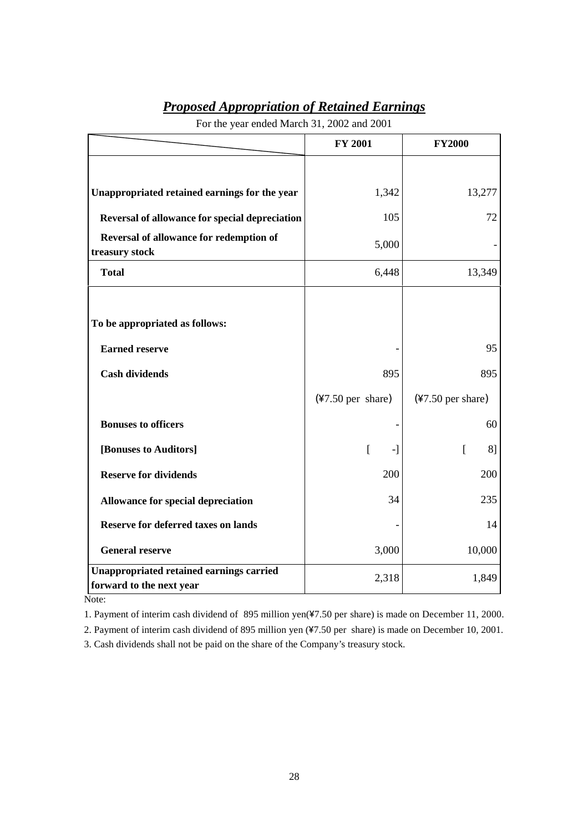| <b>Proposed Appropriation of Retained Earnings</b> |  |
|----------------------------------------------------|--|
|----------------------------------------------------|--|

|                                                                             | <b>FY 2001</b>              | <b>FY2000</b>               |
|-----------------------------------------------------------------------------|-----------------------------|-----------------------------|
|                                                                             |                             |                             |
| Unappropriated retained earnings for the year                               | 1,342                       | 13,277                      |
| Reversal of allowance for special depreciation                              | 105                         | 72                          |
| Reversal of allowance for redemption of<br>treasury stock                   | 5,000                       |                             |
| <b>Total</b>                                                                | 6,448                       | 13,349                      |
|                                                                             |                             |                             |
| To be appropriated as follows:                                              |                             |                             |
| <b>Earned reserve</b>                                                       |                             | 95                          |
| <b>Cash dividends</b>                                                       | 895                         | 895                         |
|                                                                             | $(*7.50 \text{ per share})$ | $(*7.50 \text{ per share})$ |
| <b>Bonuses to officers</b>                                                  |                             | 60                          |
| [Bonuses to Auditors]                                                       | <sub>[</sub><br>-1          | [<br>8]                     |
| <b>Reserve for dividends</b>                                                | 200                         | 200                         |
| Allowance for special depreciation                                          | 34                          | 235                         |
| <b>Reserve for deferred taxes on lands</b>                                  |                             | 14                          |
| <b>General reserve</b>                                                      | 3,000                       | 10,000                      |
| <b>Unappropriated retained earnings carried</b><br>forward to the next year | 2,318                       | 1,849                       |

For the year ended March 31, 2002 and 2001

Note:

1. Payment of interim cash dividend of 895 million yen(\7.50 per share) is made on December 11, 2000.

2. Payment of interim cash dividend of 895 million yen (¥7.50 per share) is made on December 10, 2001.

3. Cash dividends shall not be paid on the share of the Company's treasury stock.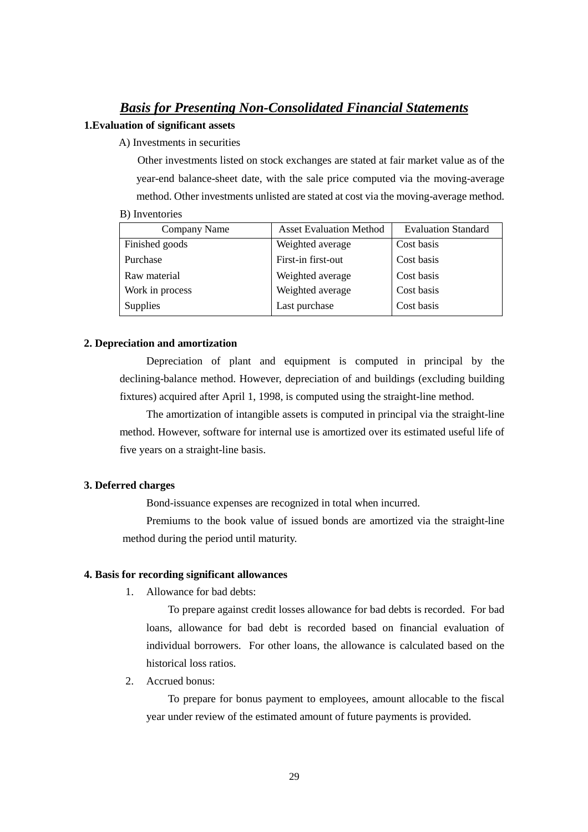# *Basis for Presenting Non-Consolidated Financial Statements*

#### **1.Evaluation of significant assets**

A) Investments in securities

Other investments listed on stock exchanges are stated at fair market value as of the year-end balance-sheet date, with the sale price computed via the moving-average method. Other investments unlisted are stated at cost via the moving-average method.

|  | B) Inventories |
|--|----------------|
|--|----------------|

| Company Name    | <b>Asset Evaluation Method</b> | <b>Evaluation Standard</b> |
|-----------------|--------------------------------|----------------------------|
| Finished goods  | Weighted average               | Cost basis                 |
| Purchase        | First-in first-out             | Cost basis                 |
| Raw material    | Weighted average               | Cost basis                 |
| Work in process | Weighted average               | Cost basis                 |
| <b>Supplies</b> | Last purchase                  | Cost basis                 |

#### **2. Depreciation and amortization**

Depreciation of plant and equipment is computed in principal by the declining-balance method. However, depreciation of and buildings (excluding building fixtures) acquired after April 1, 1998, is computed using the straight-line method.

The amortization of intangible assets is computed in principal via the straight-line method. However, software for internal use is amortized over its estimated useful life of five years on a straight-line basis.

#### **3. Deferred charges**

Bond-issuance expenses are recognized in total when incurred.

Premiums to the book value of issued bonds are amortized via the straight-line method during the period until maturity.

#### **4. Basis for recording significant allowances**

1. Allowance for bad debts:

To prepare against credit losses allowance for bad debts is recorded. For bad loans, allowance for bad debt is recorded based on financial evaluation of individual borrowers. For other loans, the allowance is calculated based on the historical loss ratios.

2. Accrued bonus:

To prepare for bonus payment to employees, amount allocable to the fiscal year under review of the estimated amount of future payments is provided.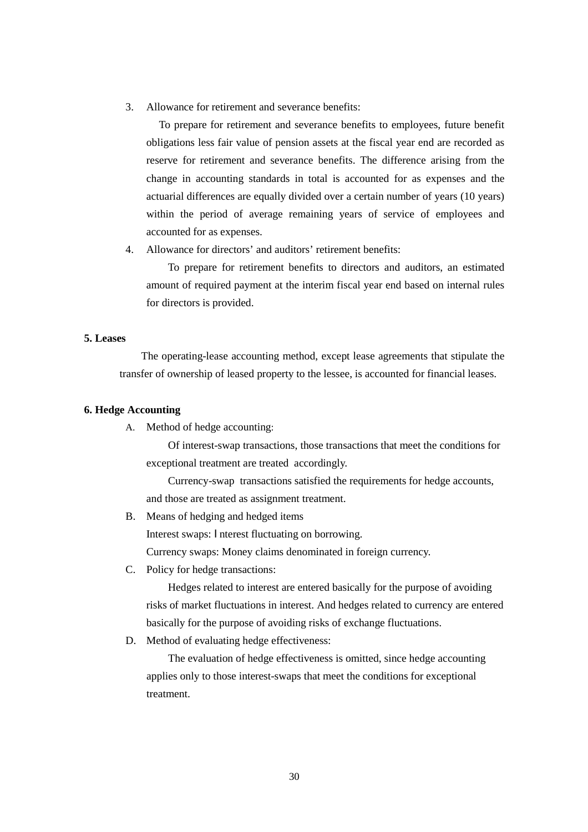3. Allowance for retirement and severance benefits:

To prepare for retirement and severance benefits to employees, future benefit obligations less fair value of pension assets at the fiscal year end are recorded as reserve for retirement and severance benefits. The difference arising from the change in accounting standards in total is accounted for as expenses and the actuarial differences are equally divided over a certain number of years (10 years) within the period of average remaining years of service of employees and accounted for as expenses.

4. Allowance for directors' and auditors' retirement benefits:

To prepare for retirement benefits to directors and auditors, an estimated amount of required payment at the interim fiscal year end based on internal rules for directors is provided.

#### **5. Leases**

The operating-lease accounting method, except lease agreements that stipulate the transfer of ownership of leased property to the lessee, is accounted for financial leases.

#### **6. Hedge Accounting**

A. Method of hedge accounting:

Of interest-swap transactions, those transactions that meet the conditions for exceptional treatment are treated accordingly.

Currency-swap transactions satisfied the requirements for hedge accounts, and those are treated as assignment treatment.

- B. Means of hedging and hedged items Interest swaps: Interest fluctuating on borrowing. Currency swaps: Money claims denominated in foreign currency.
- C. Policy for hedge transactions:

Hedges related to interest are entered basically for the purpose of avoiding risks of market fluctuations in interest. And hedges related to currency are entered basically for the purpose of avoiding risks of exchange fluctuations.

D. Method of evaluating hedge effectiveness:

The evaluation of hedge effectiveness is omitted, since hedge accounting applies only to those interest-swaps that meet the conditions for exceptional treatment.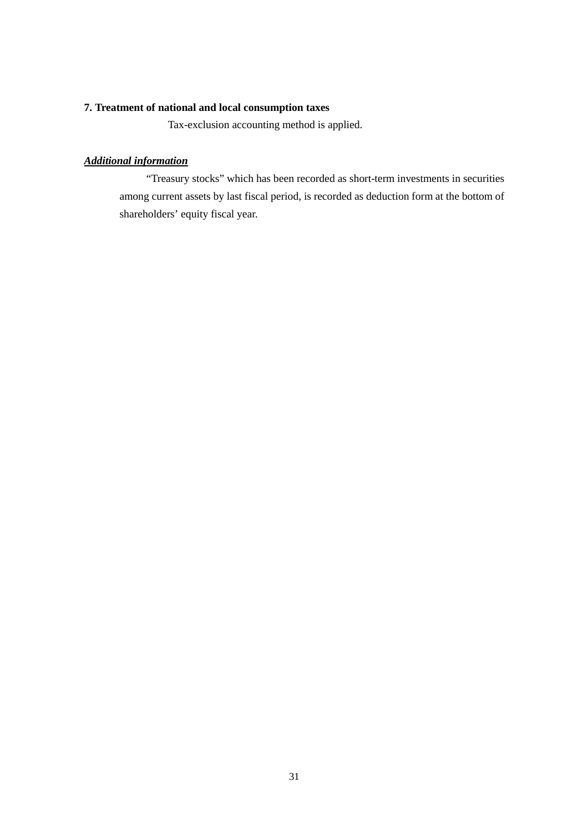## **7. Treatment of national and local consumption taxes**

Tax-exclusion accounting method is applied.

## *Additional information*

"Treasury stocks" which has been recorded as short-term investments in securities among current assets by last fiscal period, is recorded as deduction form at the bottom of shareholders' equity fiscal year.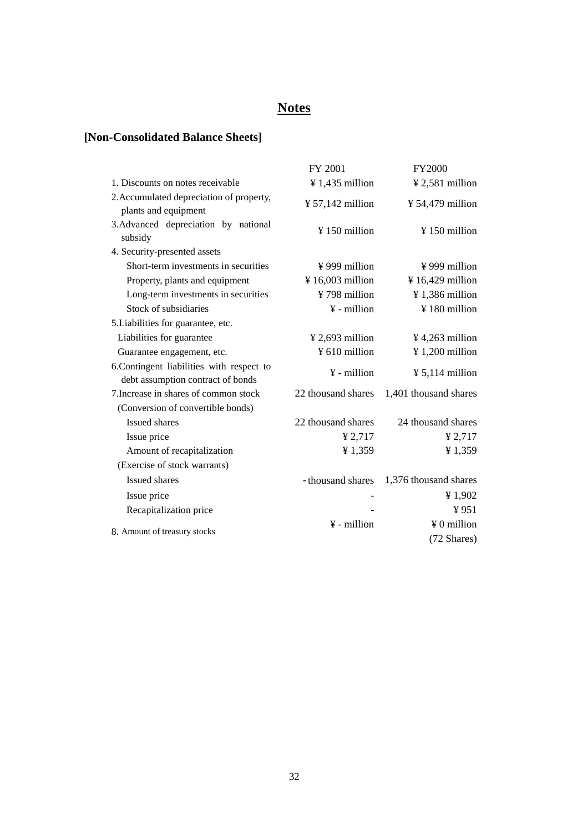# **Notes**

# **[Non-Consolidated Balance Sheets]**

|                                                                                | FY 2001                      | <b>FY2000</b>                |
|--------------------------------------------------------------------------------|------------------------------|------------------------------|
| 1. Discounts on notes receivable                                               | $\frac{1}{4}$ 1,435 million  | ¥ 2,581 million              |
| 2. Accumulated depreciation of property,<br>plants and equipment               | $\frac{1}{2}$ 57,142 million | $\frac{1}{2}$ 54,479 million |
| 3. Advanced depreciation by national<br>subsidy                                | $\frac{150}{150}$ million    | ¥150 million                 |
| 4. Security-presented assets                                                   |                              |                              |
| Short-term investments in securities                                           | $\frac{1}{2}$ 999 million    | $\frac{1}{2}$ 999 million    |
| Property, plants and equipment                                                 | ¥ 16,003 million             | ¥ 16,429 million             |
| Long-term investments in securities                                            | ¥798 million                 | $\frac{1}{2}$ 1,386 million  |
| Stock of subsidiaries                                                          | $\frac{1}{2}$ - million      | ¥180 million                 |
| 5. Liabilities for guarantee, etc.                                             |                              |                              |
| Liabilities for guarantee                                                      | $\frac{1}{2}$ 2,693 million  | $\frac{1}{2}$ 4,263 million  |
| Guarantee engagement, etc.                                                     | ¥ 610 million                | $\frac{1}{200}$ million      |
| 6. Contingent liabilities with respect to<br>debt assumption contract of bonds | $\frac{1}{2}$ - million      | $\frac{1}{2}$ 5,114 million  |
| 7. Increase in shares of common stock                                          | 22 thousand shares           | 1,401 thousand shares        |
| (Conversion of convertible bonds)                                              |                              |                              |
| <b>Issued shares</b>                                                           | 22 thousand shares           | 24 thousand shares           |
| Issue price                                                                    | ¥ $2,717$                    | ¥ $2,717$                    |
| Amount of recapitalization                                                     | ¥1,359                       | ¥1,359                       |
| (Exercise of stock warrants)                                                   |                              |                              |
| Issued shares                                                                  | - thousand shares            | 1,376 thousand shares        |
| Issue price                                                                    |                              | ¥1,902                       |
| Recapitalization price                                                         |                              | ¥951                         |
|                                                                                | $\frac{1}{2}$ - million      | $\angle 0$ million           |
| 8. Amount of treasury stocks                                                   |                              | (72 Shares)                  |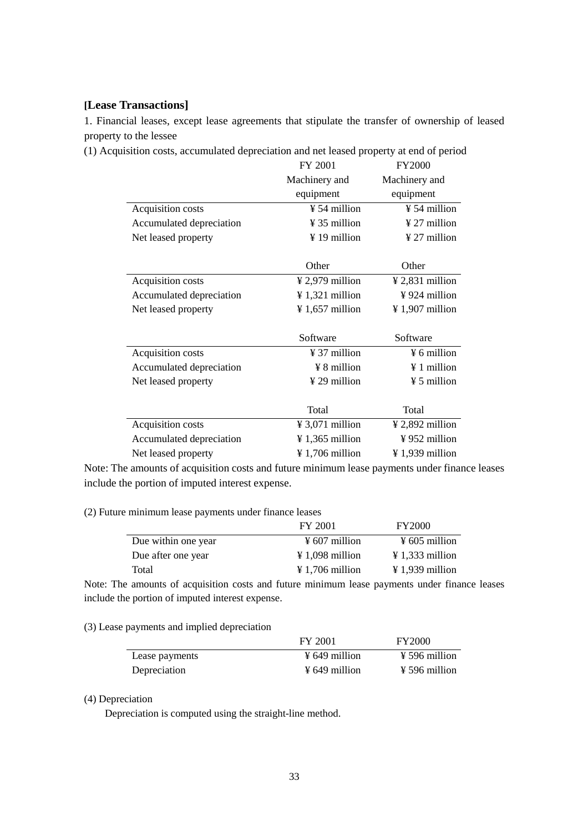#### **[Lease Transactions]**

1. Financial leases, except lease agreements that stipulate the transfer of ownership of leased property to the lessee

(1) Acquisition costs, accumulated depreciation and net leased property at end of period

|                          | FY 2001                     | <b>FY2000</b>                 |
|--------------------------|-----------------------------|-------------------------------|
|                          | Machinery and               | Machinery and                 |
|                          | equipment                   | equipment                     |
| Acquisition costs        | ¥ 54 million                | ¥ 54 million                  |
| Accumulated depreciation | $\frac{1}{2}$ 35 million    | $\frac{1}{27}$ million        |
| Net leased property      | ¥ 19 million                | ¥ 27 million                  |
|                          |                             |                               |
|                          | Other                       | Other                         |
| Acquisition costs        | $\frac{1}{2}$ 2,979 million | $\frac{1}{2}$ ,831 million    |
| Accumulated depreciation | $\frac{1}{321}$ million     | $\frac{1}{2}$ 924 million     |
| Net leased property      | $\frac{1}{2}$ 1,657 million | $\frac{1}{2}$ 1,907 million   |
|                          |                             |                               |
|                          | Software                    | Software                      |
| Acquisition costs        | $\frac{1}{2}$ 37 million    | ¥ 6 million                   |
| Accumulated depreciation | $\angle$ 8 million          | $\angle 1$ million            |
| Net leased property      | ¥ 29 million                | ¥ 5 million                   |
|                          |                             |                               |
|                          | Total                       | Total                         |
| Acquisition costs        | $\frac{1}{2}$ 3,071 million | $\frac{1}{2}$ , 2,892 million |
| Accumulated depreciation | $\frac{1}{365}$ million     | $\frac{1}{2}$ 952 million     |
| Net leased property      | $\frac{1}{2}$ 1,706 million | $\frac{1}{2}$ 1,939 million   |

Note: The amounts of acquisition costs and future minimum lease payments under finance leases include the portion of imputed interest expense.

(2) Future minimum lease payments under finance leases

|                     | FY 2001                     | <b>FY2000</b>               |
|---------------------|-----------------------------|-----------------------------|
| Due within one year | $\frac{1}{2}$ 607 million   | $\frac{1}{2}$ 605 million   |
| Due after one year  | $\angle 1.098$ million      | $\frac{1}{2}$ 1,333 million |
| Total               | $\frac{1}{2}$ 1,706 million | $\angle 1.939$ million      |

Note: The amounts of acquisition costs and future minimum lease payments under finance leases include the portion of imputed interest expense.

#### (3) Lease payments and implied depreciation

|                | FY 2001                   | <b>FY2000</b>             |
|----------------|---------------------------|---------------------------|
| Lease payments | $\frac{1}{2}$ 649 million | $\frac{1}{2}$ 596 million |
| Depreciation   | $\frac{1}{2}$ 649 million | $\frac{1}{2}$ 596 million |

#### (4) Depreciation

Depreciation is computed using the straight-line method.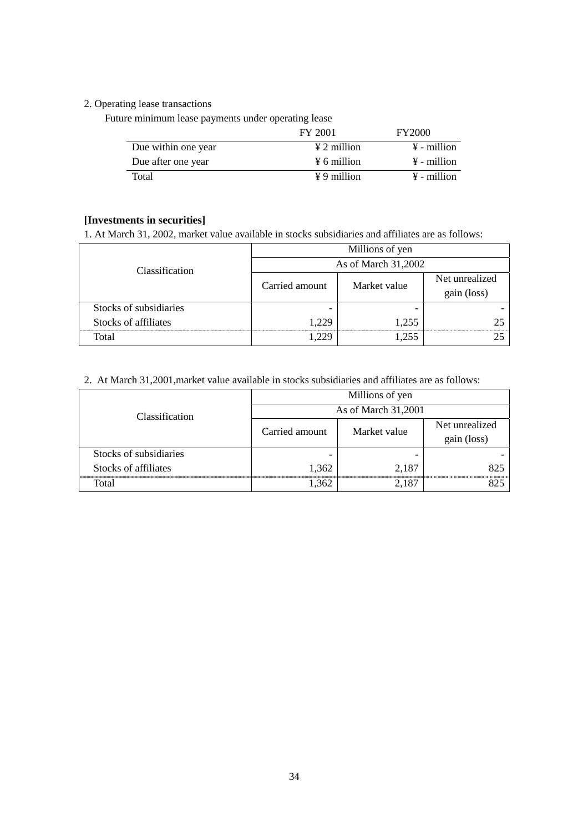## 2. Operating lease transactions

Future minimum lease payments under operating lease

|                     | FY 2001                 | <b>FY2000</b>           |
|---------------------|-------------------------|-------------------------|
| Due within one year | $\angle 2$ million      | $\frac{1}{2}$ - million |
| Due after one year  | $\frac{1}{2}$ 6 million | $\frac{1}{2}$ - million |
| <b>Total</b>        | $\angle 9$ million      | $\frac{1}{2}$ - million |

#### **[Investments in securities]**

1. At March 31, 2002, market value available in stocks subsidiaries and affiliates are as follows:

| Classification         | Millions of yen     |              |                               |
|------------------------|---------------------|--------------|-------------------------------|
|                        | As of March 31,2002 |              |                               |
|                        | Carried amount      | Market value | Net unrealized<br>gain (loss) |
| Stocks of subsidiaries |                     |              |                               |
| Stocks of affiliates   | 1,229               | 1.255        |                               |
| Total                  |                     | -255         |                               |

#### 2. At March 31,2001,market value available in stocks subsidiaries and affiliates are as follows:

| Classification         | Millions of yen     |              |                               |
|------------------------|---------------------|--------------|-------------------------------|
|                        | As of March 31,2001 |              |                               |
|                        | Carried amount      | Market value | Net unrealized<br>gain (loss) |
| Stocks of subsidiaries |                     |              |                               |
| Stocks of affiliates   | 1,362               | 2,187        | 825                           |
| Total                  | 1.362               | 2.187        |                               |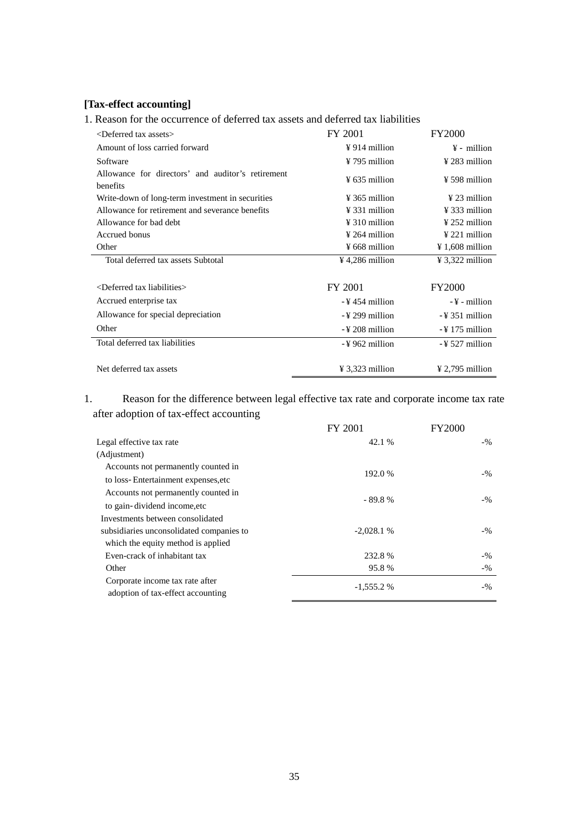# **[Tax-effect accounting]**

# 1. Reason for the occurrence of deferred tax assets and deferred tax liabilities

| <deferred assets="" tax=""></deferred>                        | FY 2001                     | <b>FY2000</b>               |
|---------------------------------------------------------------|-----------------------------|-----------------------------|
| Amount of loss carried forward                                | $\frac{1}{2}$ 914 million   | $\frac{1}{2}$ - million     |
| Software                                                      | ¥ 795 million               | $\frac{1}{2}$ 283 million   |
| Allowance for directors' and auditor's retirement<br>benefits | $\frac{1}{2}$ 635 million   | $\frac{1}{2}$ 598 million   |
| Write-down of long-term investment in securities              | $\frac{1}{2}$ 365 million   | $\frac{1}{2}$ 23 million    |
| Allowance for retirement and severance benefits               | $\frac{1}{2}$ 331 million   | $\frac{1}{2}$ 333 million   |
| Allowance for bad debt                                        | $\frac{1}{2}$ 310 million   | $\frac{1}{2}$ 252 million   |
| Accrued bonus                                                 | ¥ 264 million               | $\frac{1}{2}$ 221 million   |
| Other                                                         | $\frac{1}{2}$ 668 million   | $\frac{1}{2}$ 1,608 million |
| Total deferred tax assets Subtotal                            | $\frac{1}{2}$ 4,286 million | $\frac{1}{2}$ 3,322 million |
|                                                               |                             |                             |
| $\leq$ Deferred tax liabilities $>$                           | FY 2001                     | <b>FY2000</b>               |
| Accrued enterprise tax                                        | -¥454 million               | $-\frac{V}{2}$ - million    |
| Allowance for special depreciation                            | -¥299 million               | $-$ ¥ 351 million           |
| Other                                                         | -¥208 million               | $-$ ¥ 175 million           |
| Total deferred tax liabilities                                | $-$ ¥ 962 million           | $-$ ¥ 527 million           |
|                                                               |                             |                             |
| Net deferred tax assets                                       | $\frac{1}{2}$ 3,323 million | $\frac{1}{2}$ 2,795 million |

# 1. Reason for the difference between legal effective tax rate and corporate income tax rate after adoption of tax-effect accounting

|                                                                      | <b>FY 2001</b> | <b>FY2000</b> |  |
|----------------------------------------------------------------------|----------------|---------------|--|
| Legal effective tax rate                                             | 42.1 %         | $-9/6$        |  |
| (Adjustment)                                                         |                |               |  |
| Accounts not permanently counted in                                  | 192.0 %        |               |  |
| to loss-Entertainment expenses, etc.                                 |                | $-9/0$        |  |
| Accounts not permanently counted in                                  |                | $-9/0$        |  |
| to gain-dividend income, etc                                         | $-89.8%$       |               |  |
| Investments between consolidated                                     |                |               |  |
| subsidiaries unconsolidated companies to                             | $-2.028.1%$    | $-9/6$        |  |
| which the equity method is applied                                   |                |               |  |
| Even-crack of inhabitant tax                                         | 232.8%         | $-9/6$        |  |
| Other                                                                | 95.8%          | $-9/0$        |  |
| Corporate income tax rate after<br>adoption of tax-effect accounting | $-1,555.2%$    | $-9/0$        |  |